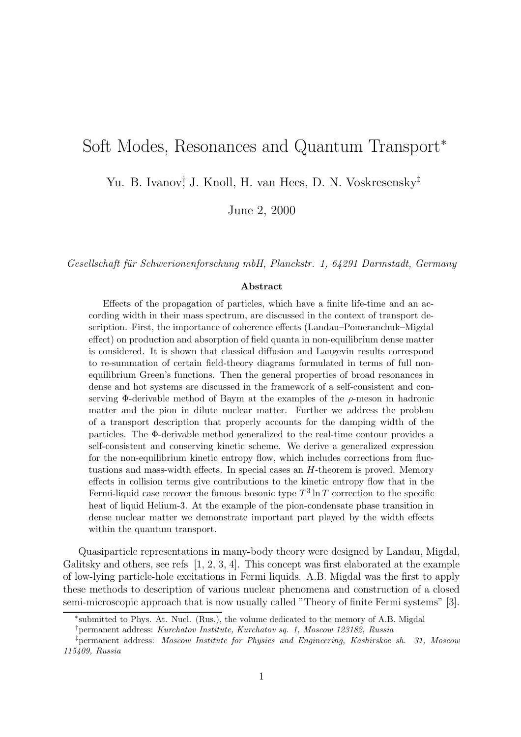# Soft Modes, Resonances and Quantum Transport<sup>∗</sup>

Yu. B. Ivanov<sup>†</sup> J. Knoll, H. van Hees, D. N. Voskresensky<sup>‡</sup>

June 2, 2000

Gesellschaft für Schwerionenforschung mbH, Planckstr. 1, 64291 Darmstadt, Germany

#### Abstract

Effects of the propagation of particles, which have a finite life-time and an according width in their mass spectrum, are discussed in the context of transport description. First, the importance of coherence effects (Landau–Pomeranchuk–Migdal effect) on production and absorption of field quanta in non-equilibrium dense matter is considered. It is shown that classical diffusion and Langevin results correspond to re-summation of certain field-theory diagrams formulated in terms of full nonequilibrium Green's functions. Then the general properties of broad resonances in dense and hot systems are discussed in the framework of a self-consistent and conserving  $\Phi$ -derivable method of Baym at the examples of the  $\rho$ -meson in hadronic matter and the pion in dilute nuclear matter. Further we address the problem of a transport description that properly accounts for the damping width of the particles. The Φ-derivable method generalized to the real-time contour provides a self-consistent and conserving kinetic scheme. We derive a generalized expression for the non-equilibrium kinetic entropy flow, which includes corrections from fluctuations and mass-width effects. In special cases an H-theorem is proved. Memory effects in collision terms give contributions to the kinetic entropy flow that in the Fermi-liquid case recover the famous bosonic type  $T^3 \ln T$  correction to the specific heat of liquid Helium-3. At the example of the pion-condensate phase transition in dense nuclear matter we demonstrate important part played by the width effects within the quantum transport.

Quasiparticle representations in many-body theory were designed by Landau, Migdal, Galitsky and others, see refs  $[1, 2, 3, 4]$ . This concept was first elaborated at the example of low-lying particle-hole excitations in Fermi liquids. A.B. Migdal was the first to apply these methods to description of various nuclear phenomena and construction of a closed semi-microscopic approach that is now usually called "Theory of finite Fermi systems" [3].

<sup>∗</sup> submitted to Phys. At. Nucl. (Rus.), the volume dedicated to the memory of A.B. Migdal

<sup>†</sup>permanent address: Kurchatov Institute, Kurchatov sq. 1, Moscow 123182, Russia

<sup>‡</sup>permanent address: Moscow Institute for Physics and Engineering, Kashirskoe sh. 31, Moscow 115409, Russia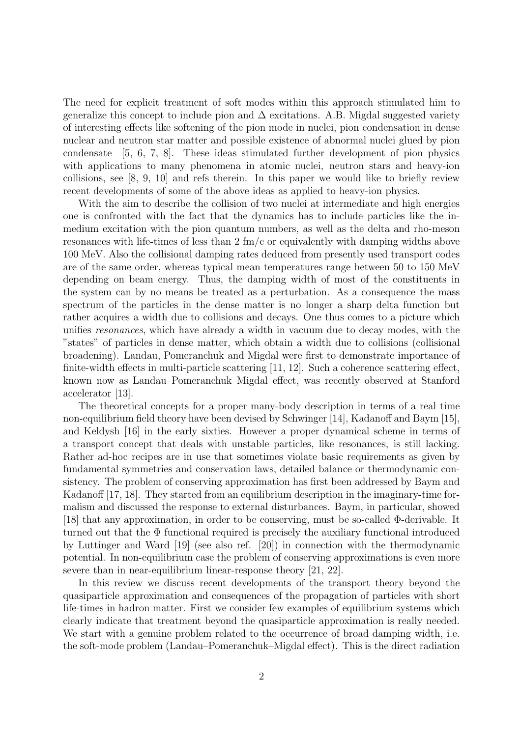The need for explicit treatment of soft modes within this approach stimulated him to generalize this concept to include pion and  $\Delta$  excitations. A.B. Migdal suggested variety of interesting effects like softening of the pion mode in nuclei, pion condensation in dense nuclear and neutron star matter and possible existence of abnormal nuclei glued by pion condensate [5, 6, 7, 8]. These ideas stimulated further development of pion physics with applications to many phenomena in atomic nuclei, neutron stars and heavy-ion collisions, see [8, 9, 10] and refs therein. In this paper we would like to briefly review recent developments of some of the above ideas as applied to heavy-ion physics.

With the aim to describe the collision of two nuclei at intermediate and high energies one is confronted with the fact that the dynamics has to include particles like the inmedium excitation with the pion quantum numbers, as well as the delta and rho-meson resonances with life-times of less than 2 fm/c or equivalently with damping widths above 100 MeV. Also the collisional damping rates deduced from presently used transport codes are of the same order, whereas typical mean temperatures range between 50 to 150 MeV depending on beam energy. Thus, the damping width of most of the constituents in the system can by no means be treated as a perturbation. As a consequence the mass spectrum of the particles in the dense matter is no longer a sharp delta function but rather acquires a width due to collisions and decays. One thus comes to a picture which unifies resonances, which have already a width in vacuum due to decay modes, with the "states" of particles in dense matter, which obtain a width due to collisions (collisional broadening). Landau, Pomeranchuk and Migdal were first to demonstrate importance of finite-width effects in multi-particle scattering [11, 12]. Such a coherence scattering effect, known now as Landau–Pomeranchuk–Migdal effect, was recently observed at Stanford accelerator [13].

The theoretical concepts for a proper many-body description in terms of a real time non-equilibrium field theory have been devised by Schwinger [14], Kadanoff and Baym [15], and Keldysh [16] in the early sixties. However a proper dynamical scheme in terms of a transport concept that deals with unstable particles, like resonances, is still lacking. Rather ad-hoc recipes are in use that sometimes violate basic requirements as given by fundamental symmetries and conservation laws, detailed balance or thermodynamic consistency. The problem of conserving approximation has first been addressed by Baym and Kadanoff [17, 18]. They started from an equilibrium description in the imaginary-time formalism and discussed the response to external disturbances. Baym, in particular, showed [18] that any approximation, in order to be conserving, must be so-called Φ-derivable. It turned out that the  $\Phi$  functional required is precisely the auxiliary functional introduced by Luttinger and Ward [19] (see also ref. [20]) in connection with the thermodynamic potential. In non-equilibrium case the problem of conserving approximations is even more severe than in near-equilibrium linear-response theory [21, 22].

In this review we discuss recent developments of the transport theory beyond the quasiparticle approximation and consequences of the propagation of particles with short life-times in hadron matter. First we consider few examples of equilibrium systems which clearly indicate that treatment beyond the quasiparticle approximation is really needed. We start with a genuine problem related to the occurrence of broad damping width, i.e. the soft-mode problem (Landau–Pomeranchuk–Migdal effect). This is the direct radiation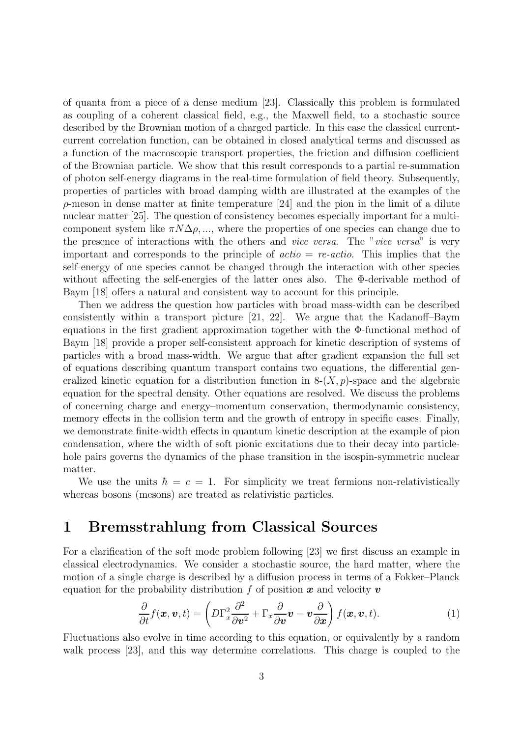of quanta from a piece of a dense medium [23]. Classically this problem is formulated as coupling of a coherent classical field, e.g., the Maxwell field, to a stochastic source described by the Brownian motion of a charged particle. In this case the classical currentcurrent correlation function, can be obtained in closed analytical terms and discussed as a function of the macroscopic transport properties, the friction and diffusion coefficient of the Brownian particle. We show that this result corresponds to a partial re-summation of photon self-energy diagrams in the real-time formulation of field theory. Subsequently, properties of particles with broad damping width are illustrated at the examples of the  $\rho$ -meson in dense matter at finite temperature [24] and the pion in the limit of a dilute nuclear matter [25]. The question of consistency becomes especially important for a multicomponent system like  $\pi N\Delta\rho$ , ..., where the properties of one species can change due to the presence of interactions with the others and vice versa. The "vice versa" is very important and corresponds to the principle of  $actio = rec-actio$ . This implies that the self-energy of one species cannot be changed through the interaction with other species without affecting the self-energies of the latter ones also. The Φ-derivable method of Baym [18] offers a natural and consistent way to account for this principle.

Then we address the question how particles with broad mass-width can be described consistently within a transport picture [21, 22]. We argue that the Kadanoff–Baym equations in the first gradient approximation together with the Φ-functional method of Baym [18] provide a proper self-consistent approach for kinetic description of systems of particles with a broad mass-width. We argue that after gradient expansion the full set of equations describing quantum transport contains two equations, the differential generalized kinetic equation for a distribution function in  $8-(X, p)$ -space and the algebraic equation for the spectral density. Other equations are resolved. We discuss the problems of concerning charge and energy–momentum conservation, thermodynamic consistency, memory effects in the collision term and the growth of entropy in specific cases. Finally, we demonstrate finite-width effects in quantum kinetic description at the example of pion condensation, where the width of soft pionic excitations due to their decay into particlehole pairs governs the dynamics of the phase transition in the isospin-symmetric nuclear matter.

We use the units  $\hbar = c = 1$ . For simplicity we treat fermions non-relativistically whereas bosons (mesons) are treated as relativistic particles.

### 1 Bremsstrahlung from Classical Sources

For a clarification of the soft mode problem following [23] we first discuss an example in classical electrodynamics. We consider a stochastic source, the hard matter, where the motion of a single charge is described by a diffusion process in terms of a Fokker–Planck equation for the probability distribution f of position  $x$  and velocity  $v$ 

$$
\frac{\partial}{\partial t} f(\boldsymbol{x}, \boldsymbol{v}, t) = \left( D \Gamma_x^2 \frac{\partial^2}{\partial \boldsymbol{v}^2} + \Gamma_x \frac{\partial}{\partial \boldsymbol{v}} \boldsymbol{v} - \boldsymbol{v} \frac{\partial}{\partial \boldsymbol{x}} \right) f(\boldsymbol{x}, \boldsymbol{v}, t).
$$
(1)

Fluctuations also evolve in time according to this equation, or equivalently by a random walk process [23], and this way determine correlations. This charge is coupled to the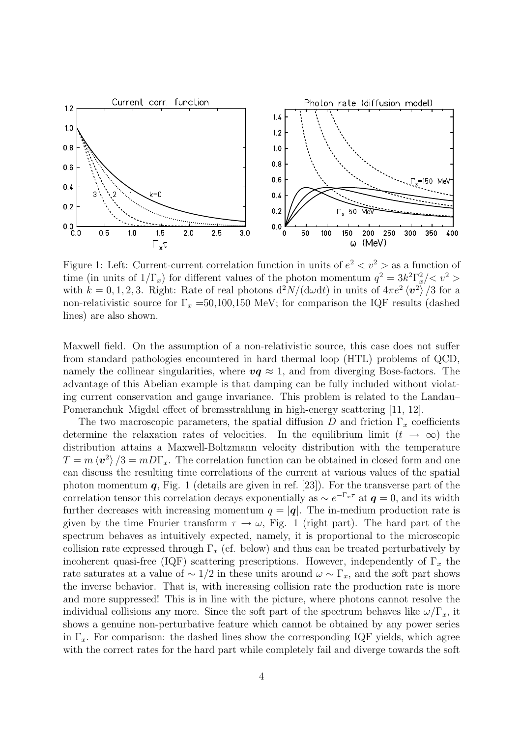

Figure 1: Left: Current-current correlation function in units of  $e^2 < v^2$  > as a function of time (in units of  $1/\Gamma_x$ ) for different values of the photon momentum  $q^2 = 3k^2\Gamma_x^2 / \langle v^2 \rangle$ with  $k = 0, 1, 2, 3$ . Right: Rate of real photons  $\frac{d^2N}{(\mathrm{d}\omega\mathrm{d}t)}$  in units of  $4\pi e^2 \langle v^2 \rangle / 3$  for a non-relativistic source for  $\Gamma_x = 50,100,150$  MeV; for comparison the IQF results (dashed lines) are also shown.

Maxwell field. On the assumption of a non-relativistic source, this case does not suffer from standard pathologies encountered in hard thermal loop (HTL) problems of QCD, namely the collinear singularities, where  $vq \approx 1$ , and from diverging Bose-factors. The advantage of this Abelian example is that damping can be fully included without violating current conservation and gauge invariance. This problem is related to the Landau– Pomeranchuk–Migdal effect of bremsstrahlung in high-energy scattering [11, 12].

The two macroscopic parameters, the spatial diffusion D and friction  $\Gamma_x$  coefficients determine the relaxation rates of velocities. In the equilibrium limit  $(t \to \infty)$  the distribution attains a Maxwell-Boltzmann velocity distribution with the temperature  $T = m \langle v^2 \rangle /3 = m D \Gamma_x$ . The correlation function can be obtained in closed form and one can discuss the resulting time correlations of the current at various values of the spatial photon momentum  $q$ , Fig. 1 (details are given in ref. [23]). For the transverse part of the correlation tensor this correlation decays exponentially as  $\sim e^{-\Gamma_x \tau}$  at  $\boldsymbol{q} = 0$ , and its width further decreases with increasing momentum  $q = |\mathbf{q}|$ . The in-medium production rate is given by the time Fourier transform  $\tau \to \omega$ , Fig. 1 (right part). The hard part of the spectrum behaves as intuitively expected, namely, it is proportional to the microscopic collision rate expressed through  $\Gamma_x$  (cf. below) and thus can be treated perturbatively by incoherent quasi-free (IQF) scattering prescriptions. However, independently of  $\Gamma_x$  the rate saturates at a value of  $\sim 1/2$  in these units around  $\omega \sim \Gamma_x$ , and the soft part shows the inverse behavior. That is, with increasing collision rate the production rate is more and more suppressed! This is in line with the picture, where photons cannot resolve the individual collisions any more. Since the soft part of the spectrum behaves like  $\omega/\Gamma_x$ , it shows a genuine non-perturbative feature which cannot be obtained by any power series in  $\Gamma_x$ . For comparison: the dashed lines show the corresponding IQF yields, which agree with the correct rates for the hard part while completely fail and diverge towards the soft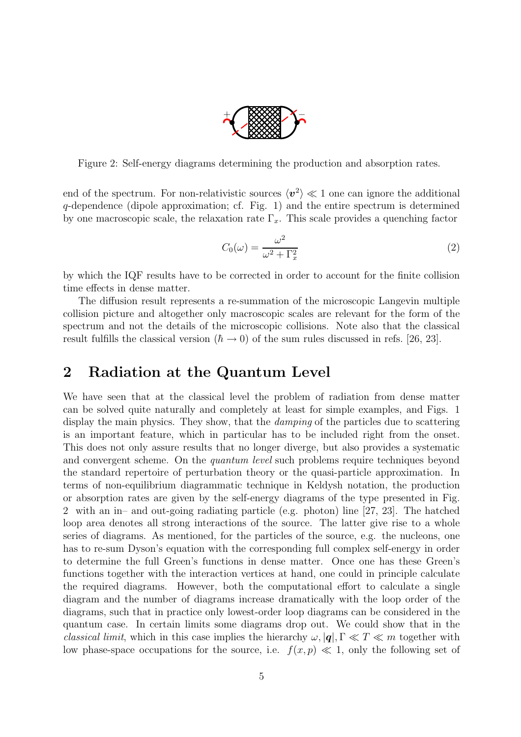

Figure 2: Self-energy diagrams determining the production and absorption rates.

end of the spectrum. For non-relativistic sources  $\langle v^2 \rangle \ll 1$  one can ignore the additional q-dependence (dipole approximation; cf. Fig. 1) and the entire spectrum is determined by one macroscopic scale, the relaxation rate  $\Gamma_x$ . This scale provides a quenching factor

$$
C_0(\omega) = \frac{\omega^2}{\omega^2 + \Gamma_x^2}
$$
 (2)

by which the IQF results have to be corrected in order to account for the finite collision time effects in dense matter.

The diffusion result represents a re-summation of the microscopic Langevin multiple collision picture and altogether only macroscopic scales are relevant for the form of the spectrum and not the details of the microscopic collisions. Note also that the classical result fulfills the classical version  $(\hbar \rightarrow 0)$  of the sum rules discussed in refs. [26, 23].

#### 2 Radiation at the Quantum Level

We have seen that at the classical level the problem of radiation from dense matter can be solved quite naturally and completely at least for simple examples, and Figs. 1 display the main physics. They show, that the *damping* of the particles due to scattering is an important feature, which in particular has to be included right from the onset. This does not only assure results that no longer diverge, but also provides a systematic and convergent scheme. On the *quantum level* such problems require techniques beyond the standard repertoire of perturbation theory or the quasi-particle approximation. In terms of non-equilibrium diagrammatic technique in Keldysh notation, the production or absorption rates are given by the self-energy diagrams of the type presented in Fig. 2 with an in– and out-going radiating particle (e.g. photon) line [27, 23]. The hatched loop area denotes all strong interactions of the source. The latter give rise to a whole series of diagrams. As mentioned, for the particles of the source, e.g. the nucleons, one has to re-sum Dyson's equation with the corresponding full complex self-energy in order to determine the full Green's functions in dense matter. Once one has these Green's functions together with the interaction vertices at hand, one could in principle calculate the required diagrams. However, both the computational effort to calculate a single diagram and the number of diagrams increase dramatically with the loop order of the diagrams, such that in practice only lowest-order loop diagrams can be considered in the quantum case. In certain limits some diagrams drop out. We could show that in the classical limit, which in this case implies the hierarchy  $\omega$ ,  $|q|$ ,  $\Gamma \ll T \ll m$  together with low phase-space occupations for the source, i.e.  $f(x, p) \ll 1$ , only the following set of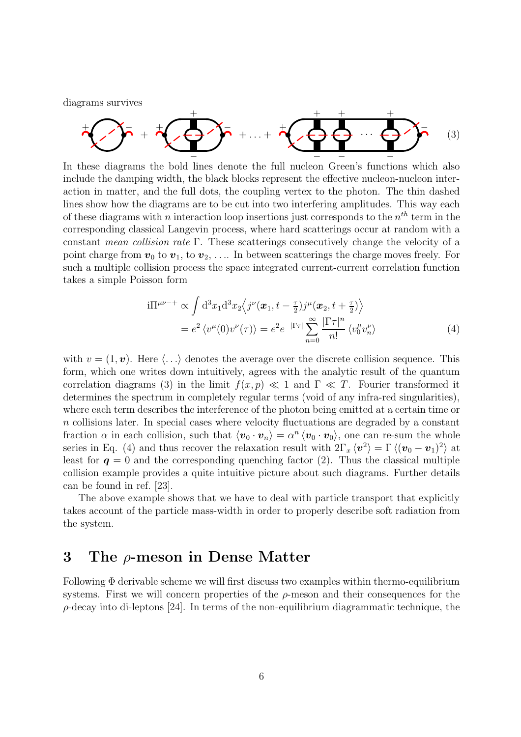diagrams survives

+ − + + + − − + . . . + + + − + − · · · + − − (3)

In these diagrams the bold lines denote the full nucleon Green's functions which also include the damping width, the black blocks represent the effective nucleon-nucleon interaction in matter, and the full dots, the coupling vertex to the photon. The thin dashed lines show how the diagrams are to be cut into two interfering amplitudes. This way each of these diagrams with n interaction loop insertions just corresponds to the  $n^{th}$  term in the corresponding classical Langevin process, where hard scatterings occur at random with a constant mean collision rate Γ. These scatterings consecutively change the velocity of a point charge from  $v_0$  to  $v_1$ , to  $v_2$ , .... In between scatterings the charge moves freely. For such a multiple collision process the space integrated current-current correlation function takes a simple Poisson form

$$
i\Pi^{\mu\nu-+} \propto \int d^3x_1 d^3x_2 \langle j^{\nu}(\boldsymbol{x}_1, t - \frac{\tau}{2}) j^{\mu}(\boldsymbol{x}_2, t + \frac{\tau}{2}) \rangle
$$
  
=  $e^2 \langle v^{\mu}(0) v^{\nu}(\tau) \rangle = e^2 e^{-|\Gamma\tau|} \sum_{n=0}^{\infty} \frac{|\Gamma\tau|^n}{n!} \langle v_0^{\mu} v_n^{\nu} \rangle$  (4)

with  $v = (1, v)$ . Here  $\langle \ldots \rangle$  denotes the average over the discrete collision sequence. This form, which one writes down intuitively, agrees with the analytic result of the quantum correlation diagrams (3) in the limit  $f(x, p) \ll 1$  and  $\Gamma \ll T$ . Fourier transformed it determines the spectrum in completely regular terms (void of any infra-red singularities), where each term describes the interference of the photon being emitted at a certain time or n collisions later. In special cases where velocity fluctuations are degraded by a constant fraction  $\alpha$  in each collision, such that  $\langle v_0 \cdot v_n \rangle = \alpha^n \langle v_0 \cdot v_0 \rangle$ , one can re-sum the whole series in Eq. (4) and thus recover the relaxation result with  $2\Gamma_x \langle v^2 \rangle = \Gamma \langle (v_0 - v_1)^2 \rangle$  at least for  $q = 0$  and the corresponding quenching factor (2). Thus the classical multiple collision example provides a quite intuitive picture about such diagrams. Further details can be found in ref. [23].

The above example shows that we have to deal with particle transport that explicitly takes account of the particle mass-width in order to properly describe soft radiation from the system.

#### 3 The ρ-meson in Dense Matter

Following  $\Phi$  derivable scheme we will first discuss two examples within thermo-equilibrium systems. First we will concern properties of the  $\rho$ -meson and their consequences for the  $\rho$ -decay into di-leptons [24]. In terms of the non-equilibrium diagrammatic technique, the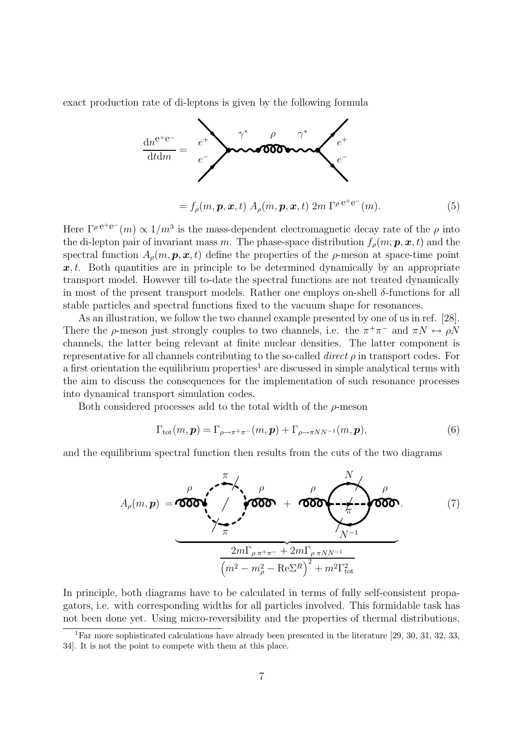exact production rate of di-leptons is given by the following formula



$$
= f_{\rho}(m, \mathbf{p}, \mathbf{x}, t) A_{\rho}(m, \mathbf{p}, \mathbf{x}, t) 2m \Gamma^{\rho e^+ e^-}(m). \tag{5}
$$

Here  $\Gamma^{\rho} e^+e^- (m) \propto 1/m^3$  is the mass-dependent electromagnetic decay rate of the  $\rho$  into the di-lepton pair of invariant mass m. The phase-space distribution  $f_{\rho}(m, p, x, t)$  and the spectral function  $A_{\rho}(m, p, x, t)$  define the properties of the  $\rho$ -meson at space-time point  $x,t$ . Both quantities are in principle to be determined dynamically by an appropriate transport model. However till to-date the spectral functions are not treated dynamically in most of the present transport models. Rather one employs on-shell  $\delta$ -functions for all stable particles and spectral functions fixed to the vacuum shape for resonances.

As an illustration, we follow the two channel example presented by one of us in ref. [28]. There the  $\rho$ -meson just strongly couples to two channels, i.e. the  $\pi^+\pi^-$  and  $\pi N \leftrightarrow \rho N$ channels, the latter being relevant at finite nuclear densities. The latter component is representative for all channels contributing to the so-called *direct*  $\rho$  in transport codes. For a first orientation the equilibrium properties<sup>1</sup> are discussed in simple analytical terms with the aim to discuss the consequences for the implementation of such resonance processes into dynamical transport simulation codes.

Both considered processes add to the total width of the  $\rho$ -meson

$$
\Gamma_{\text{tot}}(m,\mathbf{p}) = \Gamma_{\rho \to \pi^+ \pi^-}(m,\mathbf{p}) + \Gamma_{\rho \to \pi NN^{-1}}(m,\mathbf{p}),\tag{6}
$$

and the equilibrium spectral function then results from the cuts of the two diagrams

$$
A_{\rho}(m, p) = \underbrace{\text{max}}_{\text{max}} \underbrace{\text{max}}_{\text{max}} \underbrace{\text{max}}_{\text{max}} \underbrace{\text{max}}_{\text{max}} + \underbrace{\text{max}}_{N^{-1}} \underbrace{\text{max}}_{N^{-1}} \underbrace{\text{max}}_{\text{(7)}}
$$
\n
$$
\underbrace{\text{max}}_{\text{max}} \underbrace{\text{max}}_{\text{max}} + \underbrace{\text{max}}_{\text{max}} \underbrace{\text{max}}_{\text{(8)}}
$$

In principle, both diagrams have to be calculated in terms of fully self-consistent propagators, i.e. with corresponding widths for all particles involved. This formidable task has not been done yet. Using micro-reversibility and the properties of thermal distributions,

<sup>&</sup>lt;sup>1</sup>Far more sophisticated calculations have already been presented in the literature [29, 30, 31, 32, 33, 34]. It is not the point to compete with them at this place.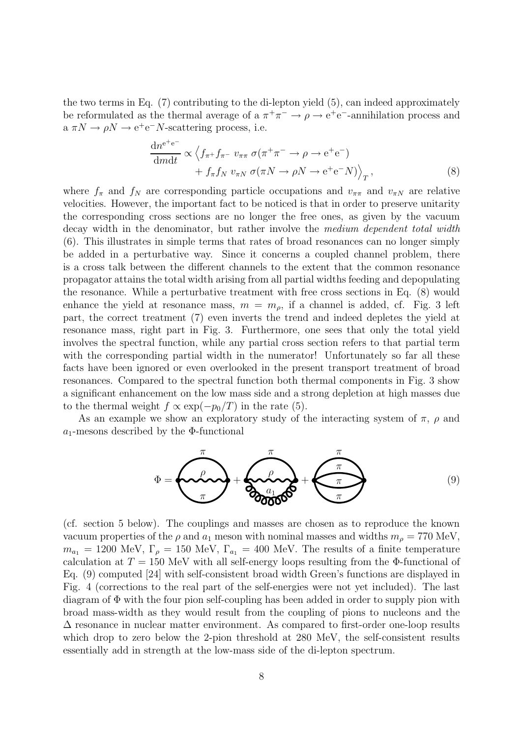the two terms in Eq. (7) contributing to the di-lepton yield (5), can indeed approximately be reformulated as the thermal average of a  $\pi^+\pi^- \to \rho \to e^+e^-$ -annihilation process and  $a \pi N \rightarrow \rho N \rightarrow e^+e^-N$ -scattering process, i.e.

$$
\frac{\mathrm{d}n^{e^+e^-}}{\mathrm{d}m\mathrm{d}t} \propto \left\langle f_{\pi^+} f_{\pi^-} v_{\pi\pi} \sigma(\pi^+\pi^- \to \rho \to e^+e^-) + f_{\pi} f_N v_{\pi N} \sigma(\pi N \to \rho N \to e^+e^- N) \right\rangle_T, \tag{8}
$$

where  $f_{\pi}$  and  $f_N$  are corresponding particle occupations and  $v_{\pi\pi}$  and  $v_{\pi N}$  are relative velocities. However, the important fact to be noticed is that in order to preserve unitarity the corresponding cross sections are no longer the free ones, as given by the vacuum decay width in the denominator, but rather involve the *medium dependent total width* (6). This illustrates in simple terms that rates of broad resonances can no longer simply be added in a perturbative way. Since it concerns a coupled channel problem, there is a cross talk between the different channels to the extent that the common resonance propagator attains the total width arising from all partial widths feeding and depopulating the resonance. While a perturbative treatment with free cross sections in Eq. (8) would enhance the yield at resonance mass,  $m = m_{\rho}$ , if a channel is added, cf. Fig. 3 left part, the correct treatment (7) even inverts the trend and indeed depletes the yield at resonance mass, right part in Fig. 3. Furthermore, one sees that only the total yield involves the spectral function, while any partial cross section refers to that partial term with the corresponding partial width in the numerator! Unfortunately so far all these facts have been ignored or even overlooked in the present transport treatment of broad resonances. Compared to the spectral function both thermal components in Fig. 3 show a significant enhancement on the low mass side and a strong depletion at high masses due to the thermal weight  $f \propto \exp(-p_0/T)$  in the rate (5).

As an example we show an exploratory study of the interacting system of  $\pi$ ,  $\rho$  and  $a_1$ -mesons described by the Φ-functional



(cf. section 5 below). The couplings and masses are chosen as to reproduce the known vacuum properties of the  $\rho$  and  $a_1$  meson with nominal masses and widths  $m_\rho = 770$  MeV,  $m_{a_1} = 1200$  MeV,  $\Gamma_\rho = 150$  MeV,  $\Gamma_{a_1} = 400$  MeV. The results of a finite temperature calculation at  $T = 150$  MeV with all self-energy loops resulting from the Φ-functional of Eq. (9) computed [24] with self-consistent broad width Green's functions are displayed in Fig. 4 (corrections to the real part of the self-energies were not yet included). The last diagram of Φ with the four pion self-coupling has been added in order to supply pion with broad mass-width as they would result from the coupling of pions to nucleons and the  $\Delta$  resonance in nuclear matter environment. As compared to first-order one-loop results which drop to zero below the 2-pion threshold at 280 MeV, the self-consistent results essentially add in strength at the low-mass side of the di-lepton spectrum.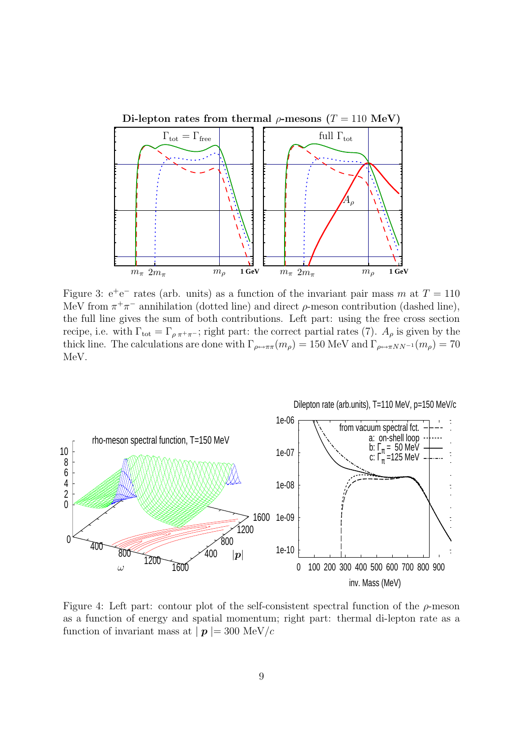

Figure 3:  $e^+e^-$  rates (arb. units) as a function of the invariant pair mass m at  $T = 110$ MeV from  $\pi^+\pi^-$  annihilation (dotted line) and direct  $\rho$ -meson contribution (dashed line), the full line gives the sum of both contributions. Left part: using the free cross section recipe, i.e. with  $\Gamma_{\text{tot}} = \Gamma_{\rho \pi^+ \pi^-}$ ; right part: the correct partial rates (7).  $A_{\rho}$  is given by the thick line. The calculations are done with  $\Gamma_{\rho \leftrightarrow \pi \pi}(m_{\rho}) = 150 \text{ MeV}$  and  $\Gamma_{\rho \leftrightarrow \pi NN^{-1}}(m_{\rho}) = 70$ MeV.



Figure 4: Left part: contour plot of the self-consistent spectral function of the  $\rho$ -meson as a function of energy and spatial momentum; right part: thermal di-lepton rate as a function of invariant mass at  $|p| = 300 \text{ MeV}/c$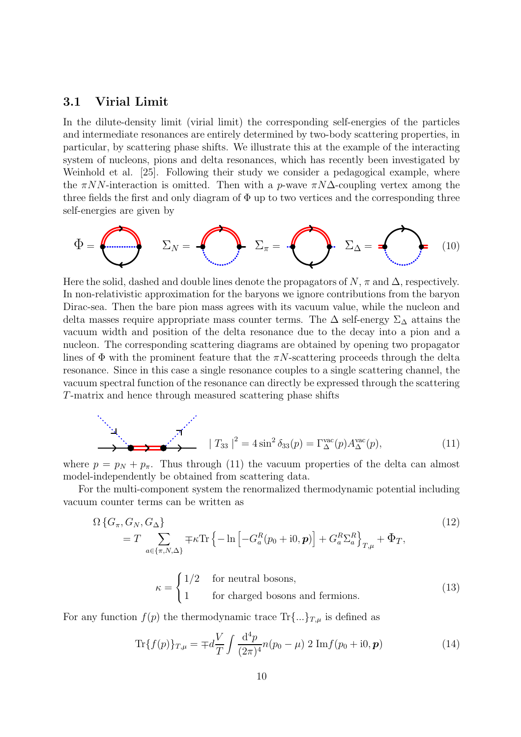#### 3.1 Virial Limit

In the dilute-density limit (virial limit) the corresponding self-energies of the particles and intermediate resonances are entirely determined by two-body scattering properties, in particular, by scattering phase shifts. We illustrate this at the example of the interacting system of nucleons, pions and delta resonances, which has recently been investigated by Weinhold et al. [25]. Following their study we consider a pedagogical example, where the  $\pi NN$ -interaction is omitted. Then with a p-wave  $\pi N\Delta$ -coupling vertex among the three fields the first and only diagram of  $\Phi$  up to two vertices and the corresponding three self-energies are given by

$$
\Phi = \bigotimes \qquad \Sigma_N = \bigotimes \qquad \Sigma_{\pi} = \bigotimes \qquad \Sigma_{\Delta} = \bigotimes \qquad (10)
$$

Here the solid, dashed and double lines denote the propagators of  $N$ ,  $\pi$  and  $\Delta$ , respectively. In non-relativistic approximation for the baryons we ignore contributions from the baryon Dirac-sea. Then the bare pion mass agrees with its vacuum value, while the nucleon and delta masses require appropriate mass counter terms. The  $\Delta$  self-energy  $\Sigma_{\Delta}$  attains the vacuum width and position of the delta resonance due to the decay into a pion and a nucleon. The corresponding scattering diagrams are obtained by opening two propagator lines of  $\Phi$  with the prominent feature that the  $\pi N$ -scattering proceeds through the delta resonance. Since in this case a single resonance couples to a single scattering channel, the vacuum spectral function of the resonance can directly be expressed through the scattering T-matrix and hence through measured scattering phase shifts

$$
\sum_{\substack{\lambda_1,\lambda_2,\lambda_3,\lambda_4,\lambda_5,\lambda_6,\lambda_7,\lambda_8}}^{\lambda_1\lambda_2} |T_{33}|^2 = 4\sin^2\delta_{33}(p) = \Gamma^{\text{vac}}_{\Delta}(p)A^{\text{vac}}_{\Delta}(p), \tag{11}
$$

where  $p = p_N + p_\pi$ . Thus through (11) the vacuum properties of the delta can almost model-independently be obtained from scattering data.

For the multi-component system the renormalized thermodynamic potential including vacuum counter terms can be written as

$$
\Omega \left\{ G_{\pi}, G_N, G_{\Delta} \right\}
$$
\n
$$
= T \sum_{a \in \{\pi, N, \Delta\}} \mp \kappa \text{Tr} \left\{ -\ln \left[ -G_a^R(p_0 + i0, \mathbf{p}) \right] + G_a^R \Sigma_a^R \right\}_{T, \mu} + \Phi_T,
$$
\n
$$
\int 1/2 \quad \text{for neutral bosons,}
$$
\n(12)

$$
\kappa = \begin{cases} 1/2 & \text{for neutral bosons,} \\ 1 & \text{for charged bosons and fermions.} \end{cases}
$$
 (13)

For any function  $f(p)$  the thermodynamic trace  $\text{Tr}\{\ldots\}_{T,\mu}$  is defined as

$$
\text{Tr}\{f(p)\}_{T,\mu} = \mp d \frac{V}{T} \int \frac{\mathrm{d}^4 p}{(2\pi)^4} n(p_0 - \mu) \ 2 \ \text{Im} f(p_0 + \mathrm{i} 0, \mathbf{p}) \tag{14}
$$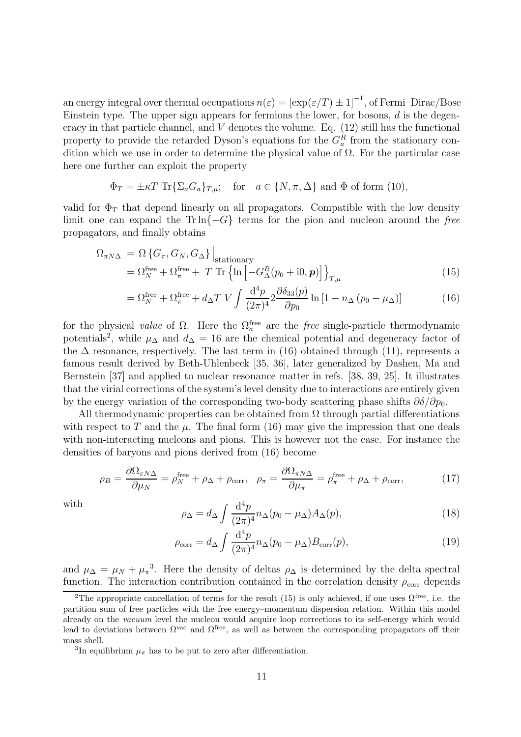an energy integral over thermal occupations  $n(\varepsilon) = [\exp(\varepsilon/T) \pm 1]^{-1}$ , of Fermi–Dirac/Bose– Einstein type. The upper sign appears for fermions the lower, for bosons,  $d$  is the degeneracy in that particle channel, and  $V$  denotes the volume. Eq.  $(12)$  still has the functional property to provide the retarded Dyson's equations for the  $G_a^R$  from the stationary condition which we use in order to determine the physical value of  $\Omega$ . For the particular case here one further can exploit the property

$$
\Phi_T = \pm \kappa T \operatorname{Tr} \{ \Sigma_a G_a \}_{T,\mu}; \quad \text{for} \quad a \in \{N, \pi, \Delta\} \text{ and } \Phi \text{ of form (10)},
$$

valid for  $\Phi_T$  that depend linearly on all propagators. Compatible with the low density limit one can expand the Trln $\{-G\}$  terms for the pion and nucleon around the free propagators, and finally obtains

$$
\Omega_{\pi N\Delta} = \Omega \left\{ G_{\pi}, G_N, G_{\Delta} \right\} \Big|_{\text{stationary}} \n= \Omega_N^{\text{free}} + \Omega_{\pi}^{\text{free}} + T \text{ Tr} \left\{ \ln \left[ -G_{\Delta}^R (p_0 + i0, \boldsymbol{p}) \right] \right\}_{T,\mu}
$$
\n(15)

$$
= \Omega_N^{\text{free}} + \Omega_\pi^{\text{free}} + d_\Delta T \ V \int \frac{\mathrm{d}^4 p}{(2\pi)^4} 2 \frac{\partial \delta_{33}(p)}{\partial p_0} \ln\left[1 - n_\Delta \left(p_0 - \mu_\Delta\right)\right] \tag{16}
$$

for the physical *value* of  $\Omega$ . Here the  $\Omega_a^{\text{free}}$  are the *free* single-particle thermodynamic potentials<sup>2</sup>, while  $\mu_{\Delta}$  and  $d_{\Delta} = 16$  are the chemical potential and degeneracy factor of the  $\Delta$  resonance, respectively. The last term in (16) obtained through (11), represents a famous result derived by Beth-Uhlenbeck [35, 36], later generalized by Dashen, Ma and Bernstein [37] and applied to nuclear resonance matter in refs. [38, 39, 25]. It illustrates that the virial corrections of the system's level density due to interactions are entirely given by the energy variation of the corresponding two-body scattering phase shifts  $\partial \delta/\partial p_0$ .

All thermodynamic properties can be obtained from  $\Omega$  through partial differentiations with respect to T and the  $\mu$ . The final form (16) may give the impression that one deals with non-interacting nucleons and pions. This is however not the case. For instance the densities of baryons and pions derived from (16) become

$$
\rho_B = \frac{\partial \Omega_{\pi N \Delta}}{\partial \mu_N} = \rho_N^{\text{free}} + \rho_\Delta + \rho_{\text{corr}}, \quad \rho_\pi = \frac{\partial \Omega_{\pi N \Delta}}{\partial \mu_\pi} = \rho_\pi^{\text{free}} + \rho_\Delta + \rho_{\text{corr}},\tag{17}
$$

with

$$
\rho_{\Delta} = d_{\Delta} \int \frac{\mathrm{d}^4 p}{(2\pi)^4} n_{\Delta} (p_0 - \mu_{\Delta}) A_{\Delta}(p), \tag{18}
$$

$$
\rho_{\text{corr}} = d_{\Delta} \int \frac{\mathrm{d}^4 p}{(2\pi)^4} n_{\Delta} (p_0 - \mu_{\Delta}) B_{\text{corr}}(p), \tag{19}
$$

and  $\mu_{\Delta} = \mu_N + \mu_{\pi}^3$ . Here the density of deltas  $\rho_{\Delta}$  is determined by the delta spectral function. The interaction contribution contained in the correlation density  $\rho_{\text{corr}}$  depends

<sup>&</sup>lt;sup>2</sup>The appropriate cancellation of terms for the result (15) is only achieved, if one uses  $\Omega^{\text{free}}$ , i.e. the partition sum of free particles with the free energy–momentum dispersion relation. Within this model already on the vacuum level the nucleon would acquire loop corrections to its self-energy which would lead to deviations between  $\Omega^{vac}$  and  $\Omega^{free}$ , as well as between the corresponding propagators off their mass shell.

<sup>&</sup>lt;sup>3</sup>In equilibrium  $\mu_{\pi}$  has to be put to zero after differentiation.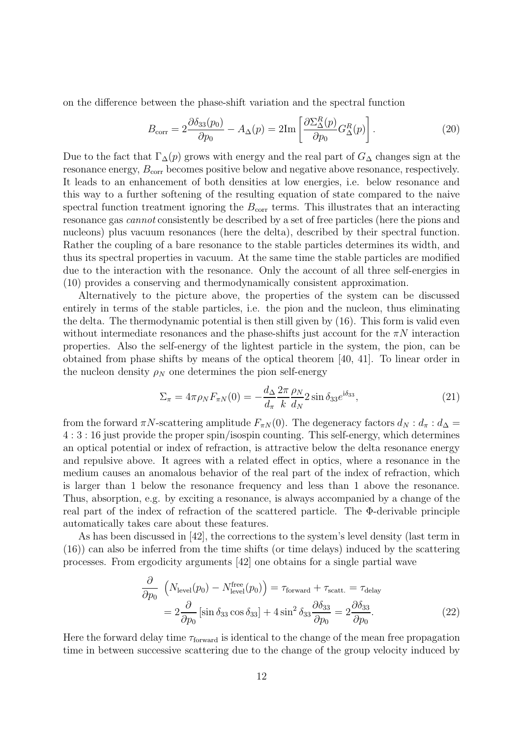on the difference between the phase-shift variation and the spectral function

$$
B_{\text{corr}} = 2 \frac{\partial \delta_{33}(p_0)}{\partial p_0} - A_{\Delta}(p) = 2 \text{Im} \left[ \frac{\partial \Sigma_{\Delta}^R(p)}{\partial p_0} G_{\Delta}^R(p) \right]. \tag{20}
$$

Due to the fact that  $\Gamma_{\Delta}(p)$  grows with energy and the real part of  $G_{\Delta}$  changes sign at the resonance energy,  $B_{\text{corr}}$  becomes positive below and negative above resonance, respectively. It leads to an enhancement of both densities at low energies, i.e. below resonance and this way to a further softening of the resulting equation of state compared to the naive spectral function treatment ignoring the  $B_{\text{corr}}$  terms. This illustrates that an interacting resonance gas cannot consistently be described by a set of free particles (here the pions and nucleons) plus vacuum resonances (here the delta), described by their spectral function. Rather the coupling of a bare resonance to the stable particles determines its width, and thus its spectral properties in vacuum. At the same time the stable particles are modified due to the interaction with the resonance. Only the account of all three self-energies in (10) provides a conserving and thermodynamically consistent approximation.

Alternatively to the picture above, the properties of the system can be discussed entirely in terms of the stable particles, i.e. the pion and the nucleon, thus eliminating the delta. The thermodynamic potential is then still given by (16). This form is valid even without intermediate resonances and the phase-shifts just account for the  $\pi N$  interaction properties. Also the self-energy of the lightest particle in the system, the pion, can be obtained from phase shifts by means of the optical theorem [40, 41]. To linear order in the nucleon density  $\rho_N$  one determines the pion self-energy

$$
\Sigma_{\pi} = 4\pi \rho_N F_{\pi N}(0) = -\frac{d_{\Delta}}{d_{\pi}} \frac{2\pi}{k} \frac{\rho_N}{d_N} 2 \sin \delta_{33} e^{i\delta_{33}},\tag{21}
$$

from the forward  $\pi N$ -scattering amplitude  $F_{\pi N}(0)$ . The degeneracy factors  $d_N : d_{\pi} : d_{\Delta} =$ 4 : 3 : 16 just provide the proper spin/isospin counting. This self-energy, which determines an optical potential or index of refraction, is attractive below the delta resonance energy and repulsive above. It agrees with a related effect in optics, where a resonance in the medium causes an anomalous behavior of the real part of the index of refraction, which is larger than 1 below the resonance frequency and less than 1 above the resonance. Thus, absorption, e.g. by exciting a resonance, is always accompanied by a change of the real part of the index of refraction of the scattered particle. The Φ-derivable principle automatically takes care about these features.

As has been discussed in [42], the corrections to the system's level density (last term in (16)) can also be inferred from the time shifts (or time delays) induced by the scattering processes. From ergodicity arguments [42] one obtains for a single partial wave

$$
\frac{\partial}{\partial p_0} \left( N_{\text{level}}(p_0) - N_{\text{level}}^{\text{free}}(p_0) \right) = \tau_{\text{forward}} + \tau_{\text{scatt.}} = \tau_{\text{delay}}
$$
\n
$$
= 2 \frac{\partial}{\partial p_0} \left[ \sin \delta_{33} \cos \delta_{33} \right] + 4 \sin^2 \delta_{33} \frac{\partial \delta_{33}}{\partial p_0} = 2 \frac{\partial \delta_{33}}{\partial p_0} . \tag{22}
$$

Here the forward delay time  $\tau_{forward}$  is identical to the change of the mean free propagation time in between successive scattering due to the change of the group velocity induced by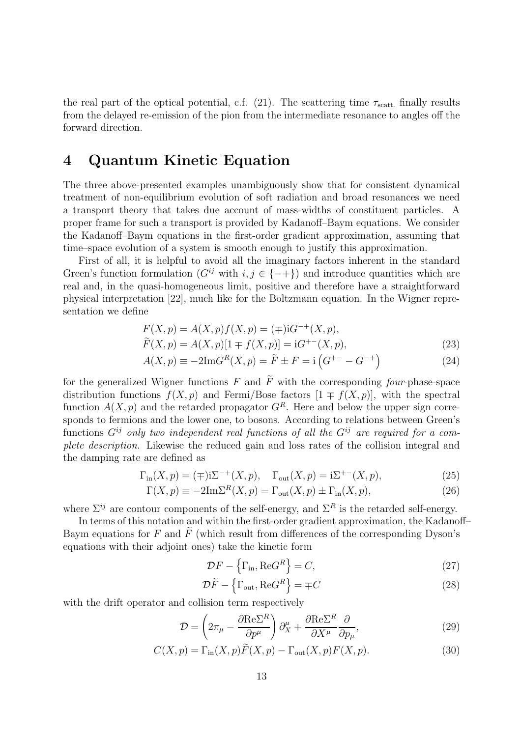the real part of the optical potential, c.f. (21). The scattering time  $\tau_{\text{scatt}}$  finally results from the delayed re-emission of the pion from the intermediate resonance to angles off the forward direction.

## 4 Quantum Kinetic Equation

The three above-presented examples unambiguously show that for consistent dynamical treatment of non-equilibrium evolution of soft radiation and broad resonances we need a transport theory that takes due account of mass-widths of constituent particles. A proper frame for such a transport is provided by Kadanoff–Baym equations. We consider the Kadanoff–Baym equations in the first-order gradient approximation, assuming that time–space evolution of a system is smooth enough to justify this approximation.

First of all, it is helpful to avoid all the imaginary factors inherent in the standard Green's function formulation  $(G^{ij}$  with  $i, j \in \{-\}$ ) and introduce quantities which are real and, in the quasi-homogeneous limit, positive and therefore have a straightforward physical interpretation [22], much like for the Boltzmann equation. In the Wigner representation we define

$$
F(X, p) = A(X, p)f(X, p) = (\mp)\mathrm{i}G^{-+}(X, p),
$$
  
\n
$$
\widetilde{F}(X, p) = A(X, p)[1 \mp f(X, p)] = \mathrm{i}G^{+-}(X, p),
$$
\n(23)

$$
A(X, p) \equiv -2\mathrm{Im}G^{R}(X, p) = \tilde{F} \pm F = \mathrm{i} \left( G^{+-} - G^{-+} \right) \tag{24}
$$

for the generalized Wigner functions F and  $\tilde{F}$  with the corresponding four-phase-space distribution functions  $f(X, p)$  and Fermi/Bose factors  $[1 \pm f(X, p)]$ , with the spectral function  $A(X, p)$  and the retarded propagator  $G<sup>R</sup>$ . Here and below the upper sign corresponds to fermions and the lower one, to bosons. According to relations between Green's functions  $G^{ij}$  only two independent real functions of all the  $G^{ij}$  are required for a complete description. Likewise the reduced gain and loss rates of the collision integral and the damping rate are defined as

$$
\Gamma_{\text{in}}(X, p) = (\mp) \mathrm{i} \Sigma^{-+}(X, p), \quad \Gamma_{\text{out}}(X, p) = \mathrm{i} \Sigma^{+-}(X, p), \tag{25}
$$

$$
\Gamma(X, p) \equiv -2\mathrm{Im}\Sigma^{R}(X, p) = \Gamma_{\text{out}}(X, p) \pm \Gamma_{\text{in}}(X, p), \tag{26}
$$

where  $\Sigma^{ij}$  are contour components of the self-energy, and  $\Sigma^R$  is the retarded self-energy.

In terms of this notation and within the first-order gradient approximation, the Kadanoff– Baym equations for F and  $\tilde{F}$  (which result from differences of the corresponding Dyson's equations with their adjoint ones) take the kinetic form

$$
\mathcal{D}F - \left\{ \Gamma_{\text{in}} , \text{Re}G^R \right\} = C,\tag{27}
$$

$$
\mathcal{D}\tilde{F} - \left\{\Gamma_{\text{out}}, \text{Re}G^R\right\} = \mp C \tag{28}
$$

with the drift operator and collision term respectively

$$
\mathcal{D} = \left(2\pi_{\mu} - \frac{\partial \text{Re}\Sigma^{R}}{\partial p^{\mu}}\right)\partial_{X}^{\mu} + \frac{\partial \text{Re}\Sigma^{R}}{\partial X^{\mu}}\frac{\partial}{\partial p_{\mu}},\tag{29}
$$

$$
C(X, p) = \Gamma_{\text{in}}(X, p)\tilde{F}(X, p) - \Gamma_{\text{out}}(X, p)F(X, p). \tag{30}
$$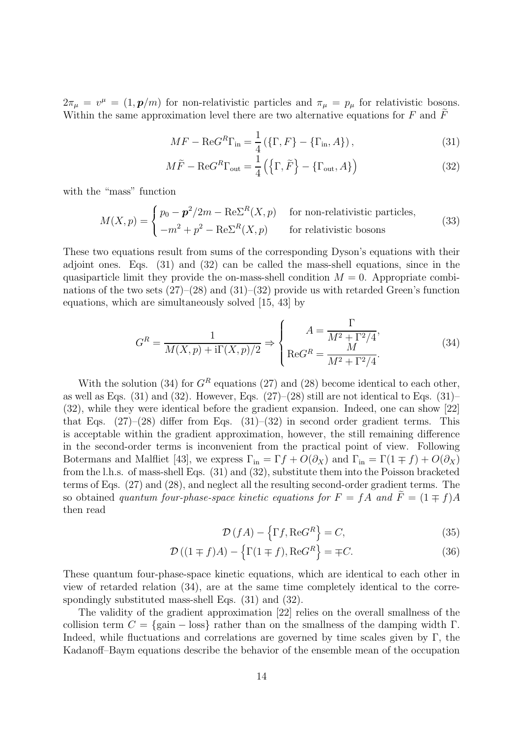$2\pi_{\mu} = v^{\mu} = (1, \mathbf{p}/m)$  for non-relativistic particles and  $\pi_{\mu} = p_{\mu}$  for relativistic bosons. Within the same approximation level there are two alternative equations for  $F$  and  $\tilde{F}$ 

$$
MF - \text{Re}G^{R}\Gamma_{\text{in}} = \frac{1}{4} \left( \{\Gamma, F\} - \{\Gamma_{\text{in}}, A\} \right),\tag{31}
$$

$$
M\tilde{F} - \text{Re}G^{R}\Gamma_{\text{out}} = \frac{1}{4} (\{ \Gamma, \tilde{F} \} - \{ \Gamma_{\text{out}}, A \})
$$
\n(32)

with the "mass" function

$$
M(X,p) = \begin{cases} p_0 - \mathbf{p}^2 / 2m - \text{Re}\Sigma^R(X,p) & \text{for non-relativistic particles,} \\ -m^2 + p^2 - \text{Re}\Sigma^R(X,p) & \text{for relativistic bosons} \end{cases}
$$
(33)

These two equations result from sums of the corresponding Dyson's equations with their adjoint ones. Eqs. (31) and (32) can be called the mass-shell equations, since in the quasiparticle limit they provide the on-mass-shell condition  $M = 0$ . Appropriate combinations of the two sets  $(27)$ – $(28)$  and  $(31)$ – $(32)$  provide us with retarded Green's function equations, which are simultaneously solved [15, 43] by

$$
G^{R} = \frac{1}{M(X,p) + i\Gamma(X,p)/2} \Rightarrow \begin{cases} A = \frac{\Gamma}{M^{2} + \Gamma^{2}/4}, \\ \text{Re}G^{R} = \frac{M}{M^{2} + \Gamma^{2}/4}. \end{cases}
$$
(34)

With the solution (34) for  $G<sup>R</sup>$  equations (27) and (28) become identical to each other, as well as Eqs.  $(31)$  and  $(32)$ . However, Eqs.  $(27)-(28)$  still are not identical to Eqs.  $(31)$ – (32), while they were identical before the gradient expansion. Indeed, one can show [22] that Eqs.  $(27)-(28)$  differ from Eqs.  $(31)-(32)$  in second order gradient terms. This is acceptable within the gradient approximation, however, the still remaining difference in the second-order terms is inconvenient from the practical point of view. Following Botermans and Malfliet [43], we express  $\Gamma_{\text{in}} = \Gamma f + O(\partial_X)$  and  $\Gamma_{\text{in}} = \Gamma(1 \mp f) + O(\partial_X)$ from the l.h.s. of mass-shell Eqs. (31) and (32), substitute them into the Poisson bracketed terms of Eqs. (27) and (28), and neglect all the resulting second-order gradient terms. The so obtained quantum four-phase-space kinetic equations for  $F = fA$  and  $\tilde{F} = (1 \mp f)A$ then read

$$
\mathcal{D}\left(fA\right) - \left\{\Gamma f, \text{Re}G^R\right\} = C,\tag{35}
$$

$$
\mathcal{D}\left((1 \mp f)A\right) - \left\{\Gamma(1 \mp f), \text{Re}G^R\right\} = \mp C. \tag{36}
$$

These quantum four-phase-space kinetic equations, which are identical to each other in view of retarded relation (34), are at the same time completely identical to the correspondingly substituted mass-shell Eqs. (31) and (32).

The validity of the gradient approximation [22] relies on the overall smallness of the collision term  $C = \{\text{gain} - \text{loss}\}\$ rather than on the smallness of the damping width Γ. Indeed, while fluctuations and correlations are governed by time scales given by  $\Gamma$ , the Kadanoff–Baym equations describe the behavior of the ensemble mean of the occupation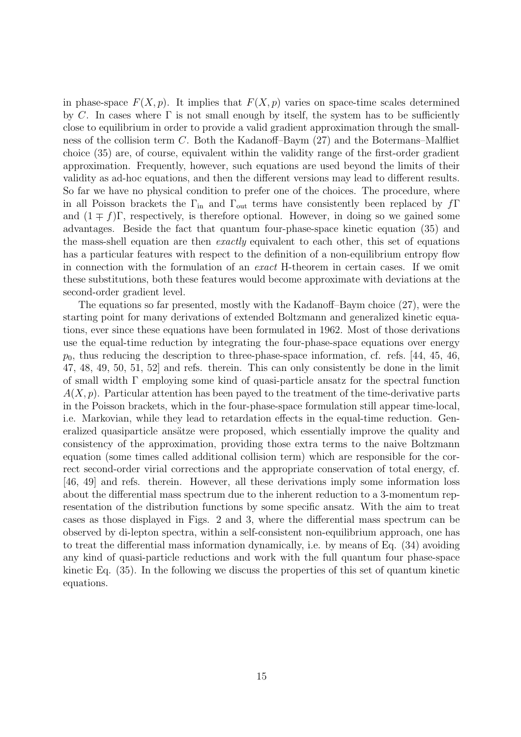in phase-space  $F(X, p)$ . It implies that  $F(X, p)$  varies on space-time scales determined by C. In cases where  $\Gamma$  is not small enough by itself, the system has to be sufficiently close to equilibrium in order to provide a valid gradient approximation through the smallness of the collision term C. Both the Kadanoff–Baym (27) and the Botermans–Malfliet choice (35) are, of course, equivalent within the validity range of the first-order gradient approximation. Frequently, however, such equations are used beyond the limits of their validity as ad-hoc equations, and then the different versions may lead to different results. So far we have no physical condition to prefer one of the choices. The procedure, where in all Poisson brackets the  $\Gamma_{\text{in}}$  and  $\Gamma_{\text{out}}$  terms have consistently been replaced by  $f\Gamma$ and  $(1 \mp f)\Gamma$ , respectively, is therefore optional. However, in doing so we gained some advantages. Beside the fact that quantum four-phase-space kinetic equation (35) and the mass-shell equation are then exactly equivalent to each other, this set of equations has a particular features with respect to the definition of a non-equilibrium entropy flow in connection with the formulation of an exact H-theorem in certain cases. If we omit these substitutions, both these features would become approximate with deviations at the second-order gradient level.

The equations so far presented, mostly with the Kadanoff–Baym choice (27), were the starting point for many derivations of extended Boltzmann and generalized kinetic equations, ever since these equations have been formulated in 1962. Most of those derivations use the equal-time reduction by integrating the four-phase-space equations over energy  $p_0$ , thus reducing the description to three-phase-space information, cf. refs. [44, 45, 46, 47, 48, 49, 50, 51, 52] and refs. therein. This can only consistently be done in the limit of small width Γ employing some kind of quasi-particle ansatz for the spectral function  $A(X, p)$ . Particular attention has been payed to the treatment of the time-derivative parts in the Poisson brackets, which in the four-phase-space formulation still appear time-local, i.e. Markovian, while they lead to retardation effects in the equal-time reduction. Generalized quasiparticle ansätze were proposed, which essentially improve the quality and consistency of the approximation, providing those extra terms to the naive Boltzmann equation (some times called additional collision term) which are responsible for the correct second-order virial corrections and the appropriate conservation of total energy, cf. [46, 49] and refs. therein. However, all these derivations imply some information loss about the differential mass spectrum due to the inherent reduction to a 3-momentum representation of the distribution functions by some specific ansatz. With the aim to treat cases as those displayed in Figs. 2 and 3, where the differential mass spectrum can be observed by di-lepton spectra, within a self-consistent non-equilibrium approach, one has to treat the differential mass information dynamically, i.e. by means of Eq. (34) avoiding any kind of quasi-particle reductions and work with the full quantum four phase-space kinetic Eq. (35). In the following we discuss the properties of this set of quantum kinetic equations.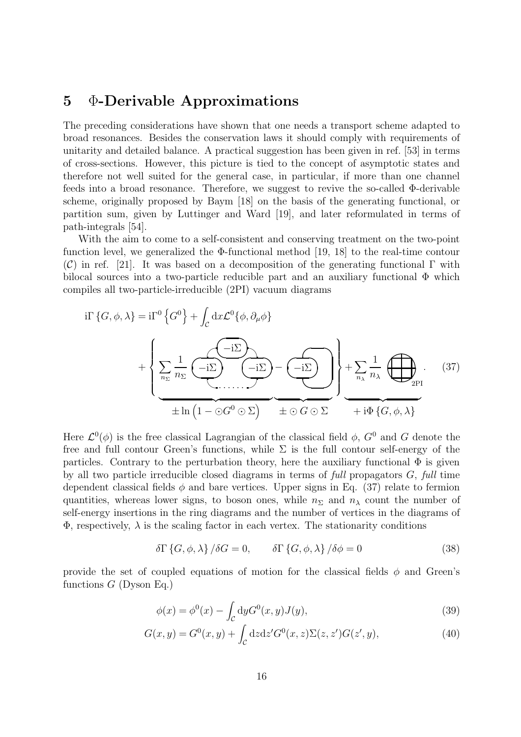#### 5 Φ-Derivable Approximations

The preceding considerations have shown that one needs a transport scheme adapted to broad resonances. Besides the conservation laws it should comply with requirements of unitarity and detailed balance. A practical suggestion has been given in ref. [53] in terms of cross-sections. However, this picture is tied to the concept of asymptotic states and therefore not well suited for the general case, in particular, if more than one channel feeds into a broad resonance. Therefore, we suggest to revive the so-called Φ-derivable scheme, originally proposed by Baym [18] on the basis of the generating functional, or partition sum, given by Luttinger and Ward [19], and later reformulated in terms of path-integrals [54].

With the aim to come to a self-consistent and conserving treatment on the two-point function level, we generalized the  $\Phi$ -functional method [19, 18] to the real-time contour (C) in ref. [21]. It was based on a decomposition of the generating functional  $\Gamma$  with bilocal sources into a two-particle reducible part and an auxiliary functional  $\Phi$  which compiles all two-particle-irreducible (2PI) vacuum diagrams

$$
i\Gamma\left\{G,\phi,\lambda\right\} = i\Gamma^{0}\left\{G^{0}\right\} + \int_{\mathcal{C}} dx \mathcal{L}^{0}\{\phi,\partial_{\mu}\phi\}
$$

$$
+ \left\{\sum_{n_{\Sigma}} \frac{1}{n_{\Sigma}} \underbrace{\left(-i\Sigma\right)}_{\pm \ln\left(1 - \odot G^{0}\odot\Sigma\right)} - \underbrace{\left(-i\Sigma\right)}_{\pm \odot G\odot\Sigma} + \sum_{n_{\lambda}} \frac{1}{n_{\lambda}} \underbrace{\left(-i\Sigma\right)}_{\pm i\Phi\left\{G,\phi,\lambda\right\}}.
$$
(37)

Here  $\mathcal{L}^0(\phi)$  is the free classical Lagrangian of the classical field  $\phi$ ,  $G^0$  and G denote the free and full contour Green's functions, while  $\Sigma$  is the full contour self-energy of the particles. Contrary to the perturbation theory, here the auxiliary functional  $\Phi$  is given by all two particle irreducible closed diagrams in terms of full propagators  $G$ , full time dependent classical fields  $\phi$  and bare vertices. Upper signs in Eq. (37) relate to fermion quantities, whereas lower signs, to boson ones, while  $n_{\Sigma}$  and  $n_{\lambda}$  count the number of self-energy insertions in the ring diagrams and the number of vertices in the diagrams of  $\Phi$ , respectively,  $\lambda$  is the scaling factor in each vertex. The stationarity conditions

$$
\delta \Gamma \{G, \phi, \lambda\} / \delta G = 0, \qquad \delta \Gamma \{G, \phi, \lambda\} / \delta \phi = 0 \tag{38}
$$

provide the set of coupled equations of motion for the classical fields  $\phi$  and Green's functions  $G$  (Dyson Eq.)

$$
\phi(x) = \phi^0(x) - \int_{\mathcal{C}} dy G^0(x, y) J(y),\tag{39}
$$

$$
G(x,y) = G^{0}(x,y) + \int_{\mathcal{C}} dz dz' G^{0}(x,z) \Sigma(z,z') G(z',y), \qquad (40)
$$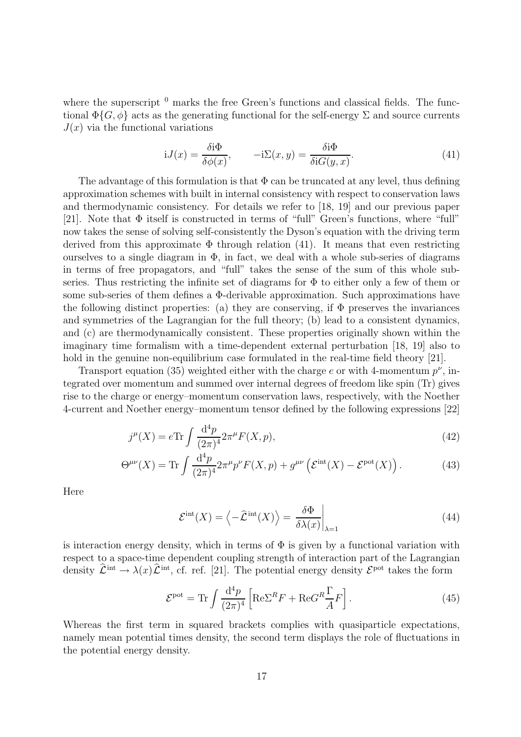where the superscript  $<sup>0</sup>$  marks the free Green's functions and classical fields. The func-</sup> tional  $\Phi\{G, \phi\}$  acts as the generating functional for the self-energy  $\Sigma$  and source currents  $J(x)$  via the functional variations

$$
iJ(x) = \frac{\delta i\Phi}{\delta \phi(x)}, \qquad -i\Sigma(x, y) = \frac{\delta i\Phi}{\delta i G(y, x)}.
$$
\n(41)

The advantage of this formulation is that  $\Phi$  can be truncated at any level, thus defining approximation schemes with built in internal consistency with respect to conservation laws and thermodynamic consistency. For details we refer to [18, 19] and our previous paper [21]. Note that Φ itself is constructed in terms of "full" Green's functions, where "full" now takes the sense of solving self-consistently the Dyson's equation with the driving term derived from this approximate  $\Phi$  through relation (41). It means that even restricting ourselves to a single diagram in  $\Phi$ , in fact, we deal with a whole sub-series of diagrams in terms of free propagators, and "full" takes the sense of the sum of this whole subseries. Thus restricting the infinite set of diagrams for  $\Phi$  to either only a few of them or some sub-series of them defines a Φ-derivable approximation. Such approximations have the following distinct properties: (a) they are conserving, if  $\Phi$  preserves the invariances and symmetries of the Lagrangian for the full theory; (b) lead to a consistent dynamics, and (c) are thermodynamically consistent. These properties originally shown within the imaginary time formalism with a time-dependent external perturbation [18, 19] also to hold in the genuine non-equilibrium case formulated in the real-time field theory [21].

Transport equation (35) weighted either with the charge e or with 4-momentum  $p^{\nu}$ , integrated over momentum and summed over internal degrees of freedom like spin (Tr) gives rise to the charge or energy–momentum conservation laws, respectively, with the Noether 4-current and Noether energy–momentum tensor defined by the following expressions [22]

$$
j^{\mu}(X) = e \text{Tr} \int \frac{\mathrm{d}^4 p}{(2\pi)^4} 2\pi^{\mu} F(X, p), \tag{42}
$$

$$
\Theta^{\mu\nu}(X) = \text{Tr} \int \frac{\mathrm{d}^4 p}{(2\pi)^4} 2\pi^\mu p^\nu F(X, p) + g^{\mu\nu} \left( \mathcal{E}^{\text{int}}(X) - \mathcal{E}^{\text{pot}}(X) \right). \tag{43}
$$

Here

$$
\mathcal{E}^{\rm int}(X) = \left\langle -\hat{\mathcal{L}}^{\rm int}(X) \right\rangle = \left. \frac{\delta \Phi}{\delta \lambda(x)} \right|_{\lambda=1} \tag{44}
$$

is interaction energy density, which in terms of  $\Phi$  is given by a functional variation with respect to a space-time dependent coupling strength of interaction part of the Lagrangian density  $\hat{\mathcal{L}}^{\text{int}} \to \lambda(x) \hat{\mathcal{L}}^{\text{int}}$ , cf. ref. [21]. The potential energy density  $\mathcal{E}^{\text{pot}}$  takes the form

$$
\mathcal{E}^{\rm pot} = \text{Tr} \int \frac{\mathrm{d}^4 p}{(2\pi)^4} \left[ \text{Re} \Sigma^R F + \text{Re} G^R \frac{\Gamma}{A} F \right]. \tag{45}
$$

Whereas the first term in squared brackets complies with quasiparticle expectations, namely mean potential times density, the second term displays the role of fluctuations in the potential energy density.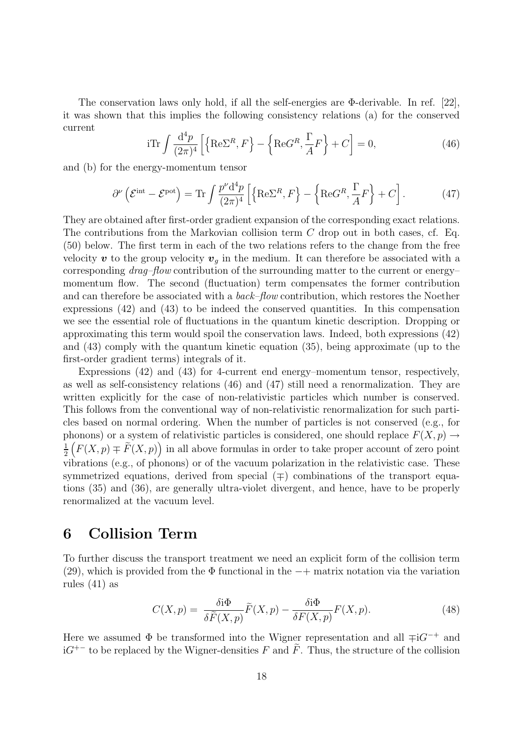The conservation laws only hold, if all the self-energies are Φ-derivable. In ref. [22], it was shown that this implies the following consistency relations (a) for the conserved current

$$
i\text{Tr}\int \frac{\mathrm{d}^4 p}{(2\pi)^4} \left[ \left\{ \text{Re}\Sigma^R, F \right\} - \left\{ \text{Re}G^R, \frac{\Gamma}{A}F \right\} + C \right] = 0,\tag{46}
$$

and (b) for the energy-momentum tensor

$$
\partial^{\nu} \left( \mathcal{E}^{\text{int}} - \mathcal{E}^{\text{pot}} \right) = \text{Tr} \int \frac{p^{\nu} d^4 p}{(2\pi)^4} \left[ \left\{ \text{Re} \Sigma^R, F \right\} - \left\{ \text{Re} G^R, \frac{\Gamma}{A} F \right\} + C \right]. \tag{47}
$$

They are obtained after first-order gradient expansion of the corresponding exact relations. The contributions from the Markovian collision term C drop out in both cases, cf. Eq. (50) below. The first term in each of the two relations refers to the change from the free velocity  $\boldsymbol{v}$  to the group velocity  $\boldsymbol{v}_q$  in the medium. It can therefore be associated with a corresponding *drag–flow* contribution of the surrounding matter to the current or energy– momentum flow. The second (fluctuation) term compensates the former contribution and can therefore be associated with a back–flow contribution, which restores the Noether expressions (42) and (43) to be indeed the conserved quantities. In this compensation we see the essential role of fluctuations in the quantum kinetic description. Dropping or approximating this term would spoil the conservation laws. Indeed, both expressions (42) and (43) comply with the quantum kinetic equation (35), being approximate (up to the first-order gradient terms) integrals of it.

Expressions (42) and (43) for 4-current end energy–momentum tensor, respectively, as well as self-consistency relations (46) and (47) still need a renormalization. They are written explicitly for the case of non-relativistic particles which number is conserved. This follows from the conventional way of non-relativistic renormalization for such particles based on normal ordering. When the number of particles is not conserved (e.g., for phonons) or a system of relativistic particles is considered, one should replace  $F(X, p) \rightarrow$ 1 2  $(F(X, p) \neq \tilde{F}(X, p))$  in all above formulas in order to take proper account of zero point vibrations (e.g., of phonons) or of the vacuum polarization in the relativistic case. These symmetrized equations, derived from special  $($  $\mp)$  combinations of the transport equations (35) and (36), are generally ultra-violet divergent, and hence, have to be properly renormalized at the vacuum level.

#### 6 Collision Term

To further discuss the transport treatment we need an explicit form of the collision term (29), which is provided from the  $\Phi$  functional in the  $-+$  matrix notation via the variation rules (41) as

$$
C(X,p) = \frac{\delta \mathfrak{i}\Phi}{\delta \tilde{F}(X,p)} \tilde{F}(X,p) - \frac{\delta \mathfrak{i}\Phi}{\delta F(X,p)} F(X,p). \tag{48}
$$

Here we assumed  $\Phi$  be transformed into the Wigner representation and all  $\mp$ i $G^{-+}$  and  $iG^{+-}$  to be replaced by the Wigner-densities F and  $\tilde{F}$ . Thus, the structure of the collision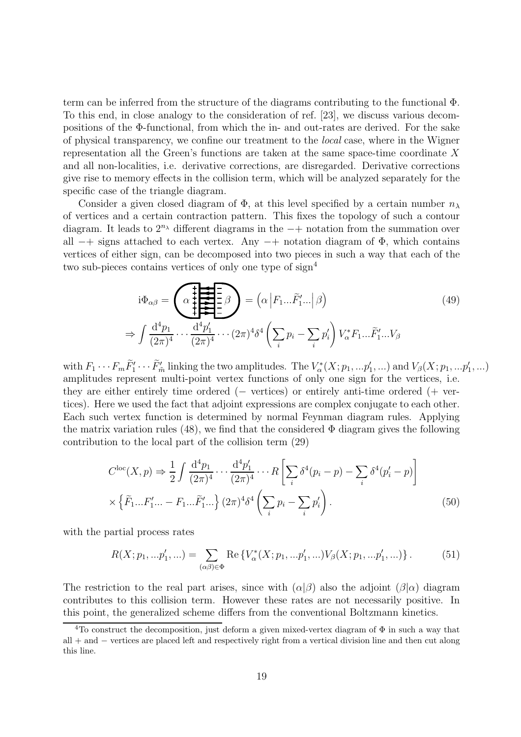term can be inferred from the structure of the diagrams contributing to the functional Φ. To this end, in close analogy to the consideration of ref. [23], we discuss various decompositions of the Φ-functional, from which the in- and out-rates are derived. For the sake of physical transparency, we confine our treatment to the local case, where in the Wigner representation all the Green's functions are taken at the same space-time coordinate X and all non-localities, i.e. derivative corrections, are disregarded. Derivative corrections give rise to memory effects in the collision term, which will be analyzed separately for the specific case of the triangle diagram.

Consider a given closed diagram of  $\Phi$ , at this level specified by a certain number  $n_{\lambda}$ of vertices and a certain contraction pattern. This fixes the topology of such a contour diagram. It leads to  $2^{n_{\lambda}}$  different diagrams in the  $-+$  notation from the summation over all  $-+$  signs attached to each vertex. Any  $-+$  notation diagram of  $\Phi$ , which contains vertices of either sign, can be decomposed into two pieces in such a way that each of the two sub-pieces contains vertices of only one type of sign<sup>4</sup>

$$
i\Phi_{\alpha\beta} = \underbrace{\left(\alpha \prod_{i=1}^{n} \sum_{j=1}^{n} \beta\right)}_{\text{max}} = \left(\alpha \left| F_1 \dots \tilde{F}'_1 \dots \right| \beta\right) \tag{49}
$$
\n
$$
\Rightarrow \int \frac{d^4 p_1}{(2\pi)^4} \dots \frac{d^4 p'_1}{(2\pi)^4} \dots (2\pi)^4 \delta^4 \left(\sum_i p_i - \sum_i p'_i\right) V^*_{\alpha} F_1 \dots \tilde{F}'_1 \dots V_{\beta}
$$

with  $F_1 \cdots F_m \tilde{F}'_1 \cdots \tilde{F}'_m$  linking the two amplitudes. The  $V^*_{\alpha}(X; p_1, ... p'_1, ...)$  and  $V_{\beta}(X; p_1, ... p'_1, ...)$ amplitudes represent multi-point vertex functions of only one sign for the vertices, i.e. they are either entirely time ordered (− vertices) or entirely anti-time ordered (+ vertices). Here we used the fact that adjoint expressions are complex conjugate to each other. Each such vertex function is determined by normal Feynman diagram rules. Applying the matrix variation rules (48), we find that the considered  $\Phi$  diagram gives the following contribution to the local part of the collision term (29)

$$
C^{\rm loc}(X,p) \Rightarrow \frac{1}{2} \int \frac{\mathrm{d}^4 p_1}{(2\pi)^4} \cdots \frac{\mathrm{d}^4 p'_1}{(2\pi)^4} \cdots R \left[ \sum_i \delta^4(p_i - p) - \sum_i \delta^4(p'_i - p) \right]
$$
  
 
$$
\times \left\{ \tilde{F}_1 \dots F'_1 \dots - F_1 \dots \tilde{F}'_1 \dots \right\} (2\pi)^4 \delta^4 \left( \sum_i p_i - \sum_i p'_i \right).
$$
 (50)

with the partial process rates

$$
R(X; p_1, ... p'_1, ...) = \sum_{(\alpha \beta) \in \Phi} \text{Re}\left\{V_{\alpha}^*(X; p_1, ... p'_1, ...)V_{\beta}(X; p_1, ... p'_1, ...)\right\}.
$$
 (51)

The restriction to the real part arises, since with  $(\alpha|\beta)$  also the adjoint  $(\beta|\alpha)$  diagram contributes to this collision term. However these rates are not necessarily positive. In this point, the generalized scheme differs from the conventional Boltzmann kinetics.

<sup>&</sup>lt;sup>4</sup>To construct the decomposition, just deform a given mixed-vertex diagram of  $\Phi$  in such a way that all + and − vertices are placed left and respectively right from a vertical division line and then cut along this line.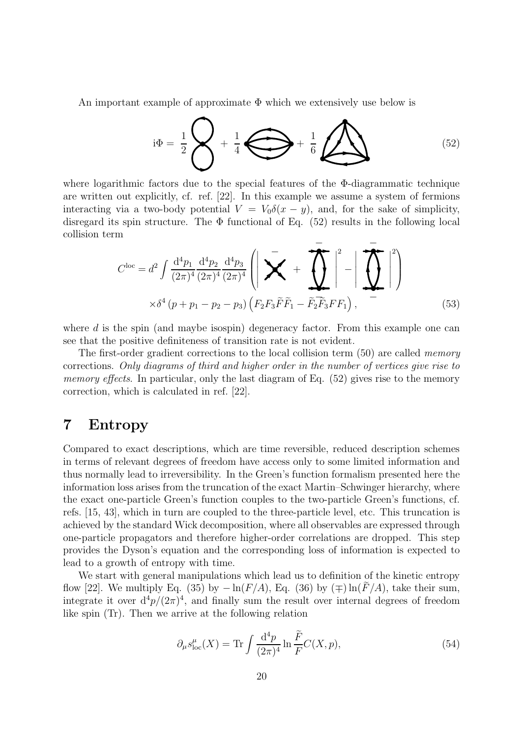An important example of approximate  $\Phi$  which we extensively use below is

$$
i\Phi = \frac{1}{2}\left\{\left\{\right\} + \frac{1}{4}\right\}\left\{\left\{\right\} + \frac{1}{6}\right\}
$$
 (52)

where logarithmic factors due to the special features of the Φ-diagrammatic technique are written out explicitly, cf. ref. [22]. In this example we assume a system of fermions interacting via a two-body potential  $V = V_0 \delta(x - y)$ , and, for the sake of simplicity, disregard its spin structure. The  $\Phi$  functional of Eq. (52) results in the following local collision term

$$
C^{\rm loc} = d^2 \int \frac{d^4 p_1}{(2\pi)^4} \frac{d^4 p_2}{(2\pi)^4} \frac{d^4 p_3}{(2\pi)^4} \left( \left| \sum_{i=1}^{\infty} \mathbf{1} + \prod_{i=1}^{\infty} \mathbf{1} \right|^2 - \left| \prod_{i=1}^{\infty} \mathbf{1} \right|^2 \right)
$$
  
 
$$
\times \delta^4 (p + p_1 - p_2 - p_3) \left( F_2 F_3 \widetilde{F} \widetilde{F}_1 - \widetilde{F}_2 \widetilde{F}_3 F F_1 \right), \tag{53}
$$

where  $d$  is the spin (and maybe isospin) degeneracy factor. From this example one can see that the positive definiteness of transition rate is not evident.

The first-order gradient corrections to the local collision term (50) are called *memory* corrections. Only diagrams of third and higher order in the number of vertices give rise to memory effects. In particular, only the last diagram of Eq.  $(52)$  gives rise to the memory correction, which is calculated in ref. [22].

### 7 Entropy

Compared to exact descriptions, which are time reversible, reduced description schemes in terms of relevant degrees of freedom have access only to some limited information and thus normally lead to irreversibility. In the Green's function formalism presented here the information loss arises from the truncation of the exact Martin–Schwinger hierarchy, where the exact one-particle Green's function couples to the two-particle Green's functions, cf. refs. [15, 43], which in turn are coupled to the three-particle level, etc. This truncation is achieved by the standard Wick decomposition, where all observables are expressed through one-particle propagators and therefore higher-order correlations are dropped. This step provides the Dyson's equation and the corresponding loss of information is expected to lead to a growth of entropy with time.

We start with general manipulations which lead us to definition of the kinetic entropy flow [22]. We multiply Eq. (35) by  $-\ln(F/A)$ , Eq. (36) by ( $\mp$ )  $\ln(F/A)$ , take their sum, integrate it over  $d^4p/(2\pi)^4$ , and finally sum the result over internal degrees of freedom like spin (Tr). Then we arrive at the following relation

$$
\partial_{\mu} s_{\text{loc}}^{\mu}(X) = \text{Tr} \int \frac{\mathrm{d}^4 p}{(2\pi)^4} \ln \frac{\tilde{F}}{F} C(X, p), \tag{54}
$$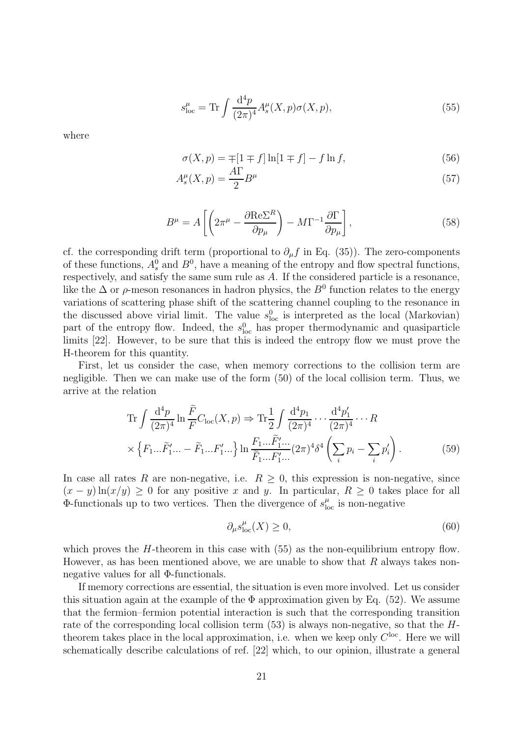$$
s_{\text{loc}}^{\mu} = \text{Tr} \int \frac{\mathrm{d}^4 p}{(2\pi)^4} A_s^{\mu}(X, p) \sigma(X, p), \tag{55}
$$

where

$$
\sigma(X, p) = \mp[1 \mp f] \ln[1 \mp f] - f \ln f,\tag{56}
$$

$$
A_s^{\mu}(X, p) = \frac{A\Gamma}{2}B^{\mu} \tag{57}
$$

$$
B^{\mu} = A \left[ \left( 2\pi^{\mu} - \frac{\partial \text{Re}\Sigma^{R}}{\partial p_{\mu}} \right) - M \Gamma^{-1} \frac{\partial \Gamma}{\partial p_{\mu}} \right],
$$
\n(58)

cf. the corresponding drift term (proportional to  $\partial_{\mu} f$  in Eq. (35)). The zero-components of these functions,  $A_s^0$  and  $B^0$ , have a meaning of the entropy and flow spectral functions, respectively, and satisfy the same sum rule as A. If the considered particle is a resonance, like the  $\Delta$  or  $\rho$ -meson resonances in hadron physics, the  $B^0$  function relates to the energy variations of scattering phase shift of the scattering channel coupling to the resonance in the discussed above virial limit. The value  $s_{\text{loc}}^0$  is interpreted as the local (Markovian) part of the entropy flow. Indeed, the  $s_{\text{loc}}^0$  has proper thermodynamic and quasiparticle limits [22]. However, to be sure that this is indeed the entropy flow we must prove the H-theorem for this quantity.

First, let us consider the case, when memory corrections to the collision term are negligible. Then we can make use of the form (50) of the local collision term. Thus, we arrive at the relation

$$
\operatorname{Tr} \int \frac{\mathrm{d}^4 p}{(2\pi)^4} \ln \frac{\tilde{F}}{F} C_{\text{loc}}(X, p) \Rightarrow \operatorname{Tr} \frac{1}{2} \int \frac{\mathrm{d}^4 p_1}{(2\pi)^4} \cdots \frac{\mathrm{d}^4 p'_1}{(2\pi)^4} \cdots R
$$
  
 
$$
\times \left\{ F_1 \dots \tilde{F}_1' \dots - \tilde{F}_1 \dots F_1' \dots \right\} \ln \frac{F_1 \dots \tilde{F}_1' \dots}{\tilde{F}_1 \dots F_1' \dots} (2\pi)^4 \delta^4 \left( \sum_i p_i - \sum_i p'_i \right).
$$
 (59)

In case all rates R are non-negative, i.e.  $R \geq 0$ , this expression is non-negative, since  $(x - y) \ln(x/y) \ge 0$  for any positive x and y. In particular,  $R \ge 0$  takes place for all  $\Phi$ -functionals up to two vertices. Then the divergence of  $s_{\rm lc}^{\mu}$  $_{\text{loc}}^{\mu}$  is non-negative

$$
\partial_{\mu} s_{\text{loc}}^{\mu}(X) \ge 0,\tag{60}
$$

which proves the  $H$ -theorem in this case with (55) as the non-equilibrium entropy flow. However, as has been mentioned above, we are unable to show that  $R$  always takes nonnegative values for all Φ-functionals.

If memory corrections are essential, the situation is even more involved. Let us consider this situation again at the example of the  $\Phi$  approximation given by Eq. (52). We assume that the fermion–fermion potential interaction is such that the corresponding transition rate of the corresponding local collision term  $(53)$  is always non-negative, so that the  $H$ theorem takes place in the local approximation, i.e. when we keep only  $C^{\text{loc}}$ . Here we will schematically describe calculations of ref. [22] which, to our opinion, illustrate a general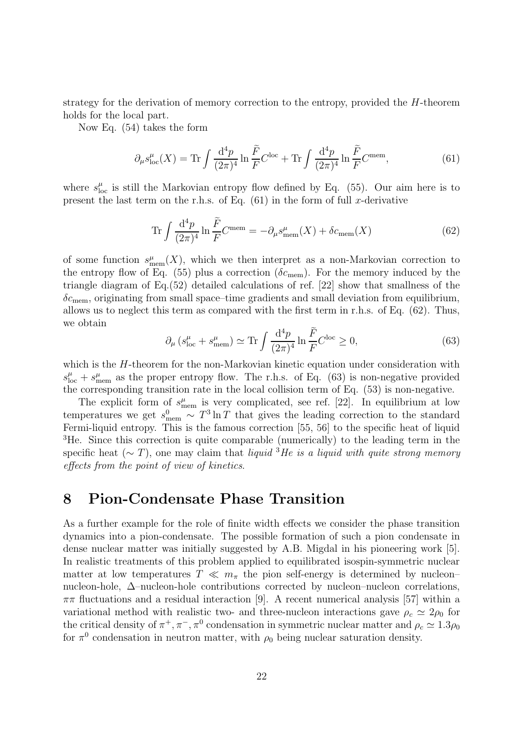strategy for the derivation of memory correction to the entropy, provided the H-theorem holds for the local part.

Now Eq. (54) takes the form

$$
\partial_{\mu} s_{\text{loc}}^{\mu}(X) = \text{Tr} \int \frac{\mathrm{d}^4 p}{(2\pi)^4} \ln \frac{\tilde{F}}{F} C^{\text{loc}} + \text{Tr} \int \frac{\mathrm{d}^4 p}{(2\pi)^4} \ln \frac{\tilde{F}}{F} C^{\text{mem}},\tag{61}
$$

where  $s_{\rm lc}^{\mu}$  $_{\text{loc}}^{\mu}$  is still the Markovian entropy flow defined by Eq. (55). Our aim here is to present the last term on the r.h.s. of Eq.  $(61)$  in the form of full x-derivative

$$
\operatorname{Tr} \int \frac{\mathrm{d}^4 p}{(2\pi)^4} \ln \frac{\tilde{F}}{F} C^{\text{mem}} = -\partial_{\mu} s_{\text{mem}}^{\mu}(X) + \delta c_{\text{mem}}(X) \tag{62}
$$

of some function  $s_{\text{mem}}^{\mu}(X)$ , which we then interpret as a non-Markovian correction to the entropy flow of Eq. (55) plus a correction ( $\delta c_{\text{mem}}$ ). For the memory induced by the triangle diagram of Eq.(52) detailed calculations of ref. [22] show that smallness of the  $\delta c_{\text{mem}}$ , originating from small space–time gradients and small deviation from equilibrium, allows us to neglect this term as compared with the first term in r.h.s. of Eq. (62). Thus, we obtain

$$
\partial_{\mu} \left( s_{\text{loc}}^{\mu} + s_{\text{mem}}^{\mu} \right) \simeq \text{Tr} \int \frac{\mathrm{d}^4 p}{(2\pi)^4} \ln \frac{\tilde{F}}{F} C^{\text{loc}} \ge 0, \tag{63}
$$

which is the H-theorem for the non-Markovian kinetic equation under consideration with  $s_{\text{loc}}^{\mu} + s_{\text{mem}}^{\mu}$  as the proper entropy flow. The r.h.s. of Eq. (63) is non-negative provided the corresponding transition rate in the local collision term of Eq. (53) is non-negative.

The explicit form of  $s_{\text{mem}}^{\mu}$  is very complicated, see ref. [22]. In equilibrium at low temperatures we get  $s_{\text{mem}}^0 \sim T^3 \ln T$  that gives the leading correction to the standard Fermi-liquid entropy. This is the famous correction [55, 56] to the specific heat of liquid <sup>3</sup>He. Since this correction is quite comparable (numerically) to the leading term in the specific heat ( $\sim T$ ), one may claim that liquid <sup>3</sup>He is a liquid with quite strong memory effects from the point of view of kinetics.

### 8 Pion-Condensate Phase Transition

As a further example for the role of finite width effects we consider the phase transition dynamics into a pion-condensate. The possible formation of such a pion condensate in dense nuclear matter was initially suggested by A.B. Migdal in his pioneering work [5]. In realistic treatments of this problem applied to equilibrated isospin-symmetric nuclear matter at low temperatures  $T \ll m_{\pi}$  the pion self-energy is determined by nucleon– nucleon-hole, ∆–nucleon-hole contributions corrected by nucleon–nucleon correlations,  $\pi\pi$  fluctuations and a residual interaction [9]. A recent numerical analysis [57] within a variational method with realistic two- and three-nucleon interactions gave  $\rho_c \simeq 2\rho_0$  for the critical density of  $\pi^+$ ,  $\pi^-$ ,  $\pi^0$  condensation in symmetric nuclear matter and  $\rho_c \simeq 1.3\rho_0$ for  $\pi^0$  condensation in neutron matter, with  $\rho_0$  being nuclear saturation density.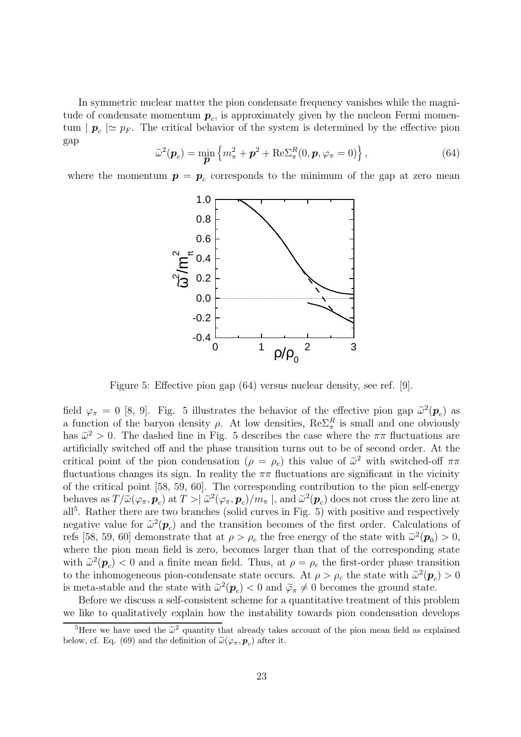In symmetric nuclear matter the pion condensate frequency vanishes while the magnitude of condensate momentum  $p_c$ , is approximately given by the nucleon Fermi momentum  $| \mathbf{p}_c | \simeq p_F$ . The critical behavior of the system is determined by the effective pion gap

$$
\tilde{\omega}^2(\boldsymbol{p}_c) = \min_{\boldsymbol{p}} \left\{ m_\pi^2 + \boldsymbol{p}^2 + \text{Re}\Sigma_\pi^R(0, \boldsymbol{p}, \varphi_\pi = 0) \right\},\tag{64}
$$

where the momentum  $p = p_c$  corresponds to the minimum of the gap at zero mean



Figure 5: Effective pion gap (64) versus nuclear density, see ref. [9].

field  $\varphi_{\pi} = 0$  [8, 9]. Fig. 5 illustrates the behavior of the effective pion gap  $\tilde{\omega}^2(\boldsymbol{p}_c)$  as a function of the baryon density  $\rho$ . At low densities,  $\text{Re}\Sigma_{\pi}^R$  is small and one obviously has  $\tilde{\omega}^2 > 0$ . The dashed line in Fig. 5 describes the case where the  $\pi \pi$  fluctuations are artificially switched off and the phase transition turns out to be of second order. At the critical point of the pion condensation  $(\rho = \rho_c)$  this value of  $\tilde{\omega}^2$  with switched-off  $\pi\pi$ fluctuations changes its sign. In reality the  $\pi\pi$  fluctuations are significant in the vicinity of the critical point [58, 59, 60]. The corresponding contribution to the pion self-energy behaves as  $T/\tilde{\omega}(\varphi_\pi, \mathbf{p}_c)$  at  $T > |\tilde{\omega}^2(\varphi_\pi, \mathbf{p}_c)/m_\pi|$ , and  $\tilde{\omega}^2(\mathbf{p}_c)$  does not cross the zero line at all<sup>5</sup>. Rather there are two branches (solid curves in Fig. 5) with positive and respectively negative value for  $\tilde{\omega}^2(\boldsymbol{p}_c)$  and the transition becomes of the first order. Calculations of refs [58, 59, 60] demonstrate that at  $\rho > \rho_c$  the free energy of the state with  $\tilde{\omega}^2(\boldsymbol{p}_0) > 0$ , where the pion mean field is zero, becomes larger than that of the corresponding state with  $\tilde{\omega}^2(\boldsymbol{p}_c) < 0$  and a finite mean field. Thus, at  $\rho = \rho_c$  the first-order phase transition to the inhomogeneous pion-condensate state occurs. At  $\rho > \rho_c$  the state with  $\tilde{\omega}^2(\mathbf{p}_c) > 0$ is meta-stable and the state with  $\tilde{\omega}^2(\mathbf{p}_c) < 0$  and  $\tilde{\varphi}_{\pi} \neq 0$  becomes the ground state.

Before we discuss a self-consistent scheme for a quantitative treatment of this problem we like to qualitatively explain how the instability towards pion condensation develops

<sup>&</sup>lt;sup>5</sup>Here we have used the  $\tilde{\omega}^2$  quantity that already takes account of the pion mean field as explained below, cf. Eq. (69) and the definition of  $\tilde{\omega}(\varphi_{\pi}, \mathbf{p}_c)$  after it.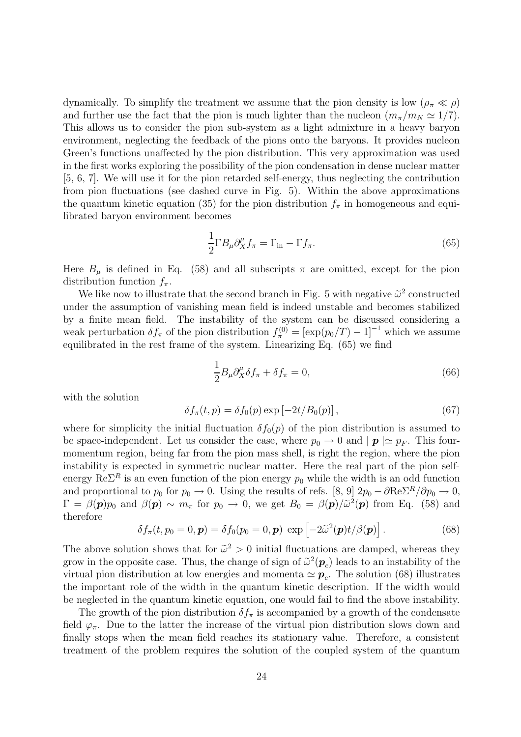dynamically. To simplify the treatment we assume that the pion density is low  $(\rho_{\pi} \ll \rho)$ and further use the fact that the pion is much lighter than the nucleon  $(m_{\pi}/m_N \simeq 1/7)$ . This allows us to consider the pion sub-system as a light admixture in a heavy baryon environment, neglecting the feedback of the pions onto the baryons. It provides nucleon Green's functions unaffected by the pion distribution. This very approximation was used in the first works exploring the possibility of the pion condensation in dense nuclear matter [5, 6, 7]. We will use it for the pion retarded self-energy, thus neglecting the contribution from pion fluctuations (see dashed curve in Fig. 5). Within the above approximations the quantum kinetic equation (35) for the pion distribution  $f_{\pi}$  in homogeneous and equilibrated baryon environment becomes

$$
\frac{1}{2}\Gamma B_{\mu}\partial_{X}^{\mu}f_{\pi} = \Gamma_{\text{in}} - \Gamma f_{\pi}.
$$
\n(65)

Here  $B_{\mu}$  is defined in Eq. (58) and all subscripts  $\pi$  are omitted, except for the pion distribution function  $f_{\pi}$ .

We like now to illustrate that the second branch in Fig. 5 with negative  $\tilde{\omega}^2$  constructed under the assumption of vanishing mean field is indeed unstable and becomes stabilized by a finite mean field. The instability of the system can be discussed considering a weak perturbation  $\delta f_{\pi}$  of the pion distribution  $f_{\pi}^{(0)} = [\exp(p_0/T) - 1]^{-1}$  which we assume equilibrated in the rest frame of the system. Linearizing Eq. (65) we find

$$
\frac{1}{2}B_{\mu}\partial_{X}^{\mu}\delta f_{\pi} + \delta f_{\pi} = 0, \tag{66}
$$

with the solution

$$
\delta f_{\pi}(t, p) = \delta f_0(p) \exp\left[-2t/B_0(p)\right],\tag{67}
$$

where for simplicity the initial fluctuation  $\delta f_0(p)$  of the pion distribution is assumed to be space-independent. Let us consider the case, where  $p_0 \to 0$  and  $|p| \simeq p_F$ . This fourmomentum region, being far from the pion mass shell, is right the region, where the pion instability is expected in symmetric nuclear matter. Here the real part of the pion selfenergy  $\text{Re}\Sigma^R$  is an even function of the pion energy  $p_0$  while the width is an odd function and proportional to  $p_0$  for  $p_0 \to 0$ . Using the results of refs. [8, 9]  $2p_0 - \partial \text{Re} \Sigma^R / \partial p_0 \to 0$ ,  $\Gamma = \beta(\mathbf{p})p_0$  and  $\beta(\mathbf{p}) \sim m_\pi$  for  $p_0 \to 0$ , we get  $B_0 = \beta(\mathbf{p})/\tilde{\omega}^2(\mathbf{p})$  from Eq. (58) and therefore

$$
\delta f_{\pi}(t, p_0 = 0, \mathbf{p}) = \delta f_0(p_0 = 0, \mathbf{p}) \exp \left[ -2\tilde{\omega}^2(\mathbf{p})t/\beta(\mathbf{p}) \right]. \tag{68}
$$

The above solution shows that for  $\tilde{\omega}^2 > 0$  initial fluctuations are damped, whereas they grow in the opposite case. Thus, the change of sign of  $\tilde{\omega}^2(\mathbf{p}_c)$  leads to an instability of the virtual pion distribution at low energies and momenta  $\simeq \boldsymbol{p}_c$ . The solution (68) illustrates the important role of the width in the quantum kinetic description. If the width would be neglected in the quantum kinetic equation, one would fail to find the above instability.

The growth of the pion distribution  $\delta f_{\pi}$  is accompanied by a growth of the condensate field  $\varphi_{\pi}$ . Due to the latter the increase of the virtual pion distribution slows down and finally stops when the mean field reaches its stationary value. Therefore, a consistent treatment of the problem requires the solution of the coupled system of the quantum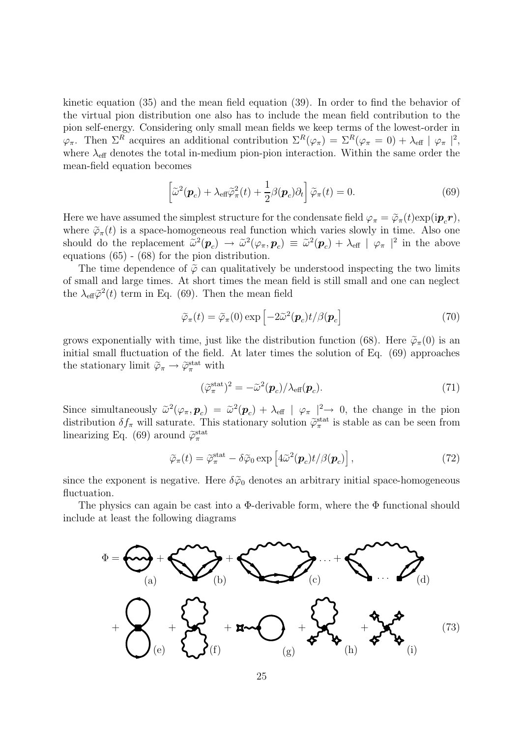kinetic equation (35) and the mean field equation (39). In order to find the behavior of the virtual pion distribution one also has to include the mean field contribution to the pion self-energy. Considering only small mean fields we keep terms of the lowest-order in  $\varphi_{\pi}$ . Then  $\Sigma^R$  acquires an additional contribution  $\Sigma^R(\varphi_{\pi}) = \Sigma^R(\varphi_{\pi} = 0) + \lambda_{\text{eff}} |\varphi_{\pi}|^2$ , where  $\lambda_{\text{eff}}$  denotes the total in-medium pion-pion interaction. Within the same order the mean-field equation becomes

$$
\left[\tilde{\omega}^2(\boldsymbol{p}_c) + \lambda_{\text{eff}} \tilde{\varphi}_\pi^2(t) + \frac{1}{2} \beta(\boldsymbol{p}_c) \partial_t\right] \tilde{\varphi}_\pi(t) = 0.
$$
\n(69)

Here we have assumed the simplest structure for the condensate field  $\varphi_{\pi} = \tilde{\varphi}_{\pi}(t) \exp(i \boldsymbol{p}_c \boldsymbol{r}),$ where  $\tilde{\varphi}_{\pi}(t)$  is a space-homogeneous real function which varies slowly in time. Also one should do the replacement  $\tilde{\omega}^2(\mathbf{p}_c) \rightarrow \tilde{\omega}^2(\varphi_\pi, \mathbf{p}_c) \equiv \tilde{\omega}^2(\mathbf{p}_c) + \lambda_{\text{eff}} |\varphi_\pi|^2$  in the above equations (65) - (68) for the pion distribution.

The time dependence of  $\tilde{\varphi}$  can qualitatively be understood inspecting the two limits of small and large times. At short times the mean field is still small and one can neglect the  $\lambda_{\text{eff}}\tilde{\varphi}^2(t)$  term in Eq. (69). Then the mean field

$$
\widetilde{\varphi}_{\pi}(t) = \widetilde{\varphi}_{\pi}(0) \exp \left[ -2\widetilde{\omega}^2(\boldsymbol{p}_c)t / \beta(\boldsymbol{p}_c) \right]
$$
\n(70)

grows exponentially with time, just like the distribution function (68). Here  $\tilde{\varphi}_{\pi}(0)$  is an initial small fluctuation of the field. At later times the solution of Eq. (69) approaches the stationary limit  $\widetilde{\varphi}_{\pi} \to \widetilde{\varphi}_{\pi}^{\text{stat}}$  with

$$
(\tilde{\varphi}_{\pi}^{\text{stat}})^2 = -\tilde{\omega}^2(\boldsymbol{p}_c)/\lambda_{\text{eff}}(\boldsymbol{p}_c). \tag{71}
$$

Since simultaneously  $\tilde{\omega}^2(\varphi_\pi, \mathbf{p}_c) = \tilde{\omega}^2(\mathbf{p}_c) + \lambda_{\text{eff}} |\varphi_\pi|^2 \to 0$ , the change in the pion distribution  $\delta f_\pi$  will saturate. This stationary solution  $\tilde{\varphi}_\pi^{\text{stat}}$  is stable as can be seen from linearizing Eq. (69) around  $\widetilde{\varphi}_{\pi}^{\text{stat}}$ 

$$
\widetilde{\varphi}_{\pi}(t) = \widetilde{\varphi}_{\pi}^{\text{stat}} - \delta \widetilde{\varphi}_0 \exp \left[ 4\widetilde{\omega}^2(\boldsymbol{p}_c) t / \beta(\boldsymbol{p}_c) \right],\tag{72}
$$

since the exponent is negative. Here  $\delta\tilde{\varphi}_0$  denotes an arbitrary initial space-homogeneous fluctuation.

The physics can again be cast into a  $\Phi$ -derivable form, where the  $\Phi$  functional should include at least the following diagrams

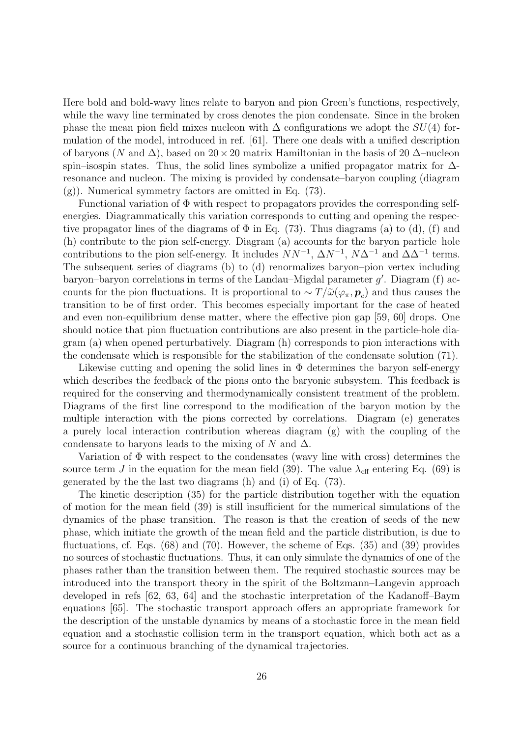Here bold and bold-wavy lines relate to baryon and pion Green's functions, respectively, while the wavy line terminated by cross denotes the pion condensate. Since in the broken phase the mean pion field mixes nucleon with  $\Delta$  configurations we adopt the  $SU(4)$  formulation of the model, introduced in ref. [61]. There one deals with a unified description of baryons (N and  $\Delta$ ), based on 20 × 20 matrix Hamiltonian in the basis of 20  $\Delta$ –nucleon spin–isospin states. Thus, the solid lines symbolize a unified propagator matrix for  $\Delta$ resonance and nucleon. The mixing is provided by condensate–baryon coupling (diagram (g)). Numerical symmetry factors are omitted in Eq. (73).

Functional variation of  $\Phi$  with respect to propagators provides the corresponding selfenergies. Diagrammatically this variation corresponds to cutting and opening the respective propagator lines of the diagrams of  $\Phi$  in Eq. (73). Thus diagrams (a) to (d), (f) and (h) contribute to the pion self-energy. Diagram (a) accounts for the baryon particle–hole contributions to the pion self-energy. It includes  $NN^{-1}$ ,  $\Delta N^{-1}$ ,  $N\Delta^{-1}$  and  $\Delta \Delta^{-1}$  terms. The subsequent series of diagrams (b) to (d) renormalizes baryon–pion vertex including baryon–baryon correlations in terms of the Landau–Migdal parameter  $g'$ . Diagram (f) accounts for the pion fluctuations. It is proportional to  $\sim T/\tilde{\omega}(\varphi_{\pi}, \bm{p}_c)$  and thus causes the transition to be of first order. This becomes especially important for the case of heated and even non-equilibrium dense matter, where the effective pion gap [59, 60] drops. One should notice that pion fluctuation contributions are also present in the particle-hole diagram (a) when opened perturbatively. Diagram (h) corresponds to pion interactions with the condensate which is responsible for the stabilization of the condensate solution (71).

Likewise cutting and opening the solid lines in  $\Phi$  determines the baryon self-energy which describes the feedback of the pions onto the baryonic subsystem. This feedback is required for the conserving and thermodynamically consistent treatment of the problem. Diagrams of the first line correspond to the modification of the baryon motion by the multiple interaction with the pions corrected by correlations. Diagram (e) generates a purely local interaction contribution whereas diagram (g) with the coupling of the condensate to baryons leads to the mixing of N and  $\Delta$ .

Variation of  $\Phi$  with respect to the condensates (wavy line with cross) determines the source term J in the equation for the mean field (39). The value  $\lambda_{\text{eff}}$  entering Eq. (69) is generated by the the last two diagrams (h) and (i) of Eq. (73).

The kinetic description (35) for the particle distribution together with the equation of motion for the mean field (39) is still insufficient for the numerical simulations of the dynamics of the phase transition. The reason is that the creation of seeds of the new phase, which initiate the growth of the mean field and the particle distribution, is due to fluctuations, cf. Eqs. (68) and (70). However, the scheme of Eqs. (35) and (39) provides no sources of stochastic fluctuations. Thus, it can only simulate the dynamics of one of the phases rather than the transition between them. The required stochastic sources may be introduced into the transport theory in the spirit of the Boltzmann–Langevin approach developed in refs [62, 63, 64] and the stochastic interpretation of the Kadanoff–Baym equations [65]. The stochastic transport approach offers an appropriate framework for the description of the unstable dynamics by means of a stochastic force in the mean field equation and a stochastic collision term in the transport equation, which both act as a source for a continuous branching of the dynamical trajectories.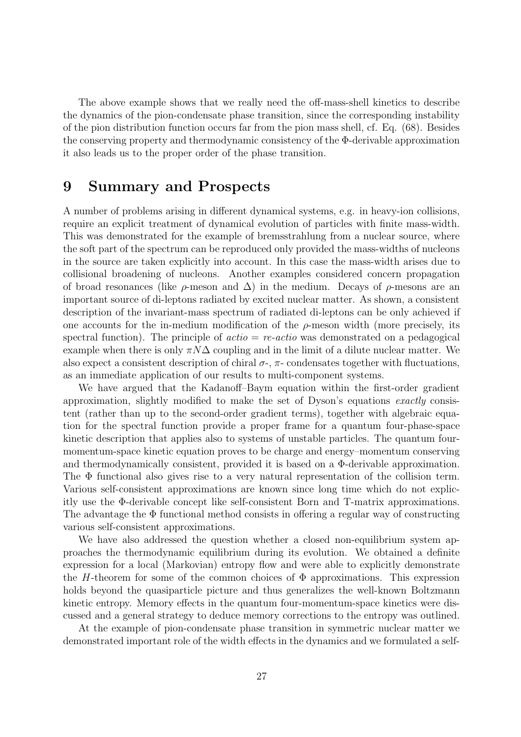The above example shows that we really need the off-mass-shell kinetics to describe the dynamics of the pion-condensate phase transition, since the corresponding instability of the pion distribution function occurs far from the pion mass shell, cf. Eq. (68). Besides the conserving property and thermodynamic consistency of the Φ-derivable approximation it also leads us to the proper order of the phase transition.

#### 9 Summary and Prospects

A number of problems arising in different dynamical systems, e.g. in heavy-ion collisions, require an explicit treatment of dynamical evolution of particles with finite mass-width. This was demonstrated for the example of bremsstrahlung from a nuclear source, where the soft part of the spectrum can be reproduced only provided the mass-widths of nucleons in the source are taken explicitly into account. In this case the mass-width arises due to collisional broadening of nucleons. Another examples considered concern propagation of broad resonances (like  $\rho$ -meson and  $\Delta$ ) in the medium. Decays of  $\rho$ -mesons are an important source of di-leptons radiated by excited nuclear matter. As shown, a consistent description of the invariant-mass spectrum of radiated di-leptons can be only achieved if one accounts for the in-medium modification of the  $\rho$ -meson width (more precisely, its spectral function). The principle of  $\arctan z = re\arctan z$  was demonstrated on a pedagogical example when there is only  $\pi N\Delta$  coupling and in the limit of a dilute nuclear matter. We also expect a consistent description of chiral  $\sigma$ -,  $\pi$ - condensates together with fluctuations, as an immediate application of our results to multi-component systems.

We have argued that the Kadanoff–Baym equation within the first-order gradient approximation, slightly modified to make the set of Dyson's equations exactly consistent (rather than up to the second-order gradient terms), together with algebraic equation for the spectral function provide a proper frame for a quantum four-phase-space kinetic description that applies also to systems of unstable particles. The quantum fourmomentum-space kinetic equation proves to be charge and energy–momentum conserving and thermodynamically consistent, provided it is based on a Φ-derivable approximation. The  $\Phi$  functional also gives rise to a very natural representation of the collision term. Various self-consistent approximations are known since long time which do not explicitly use the Φ-derivable concept like self-consistent Born and T-matrix approximations. The advantage the Φ functional method consists in offering a regular way of constructing various self-consistent approximations.

We have also addressed the question whether a closed non-equilibrium system approaches the thermodynamic equilibrium during its evolution. We obtained a definite expression for a local (Markovian) entropy flow and were able to explicitly demonstrate the H-theorem for some of the common choices of  $\Phi$  approximations. This expression holds beyond the quasiparticle picture and thus generalizes the well-known Boltzmann kinetic entropy. Memory effects in the quantum four-momentum-space kinetics were discussed and a general strategy to deduce memory corrections to the entropy was outlined.

At the example of pion-condensate phase transition in symmetric nuclear matter we demonstrated important role of the width effects in the dynamics and we formulated a self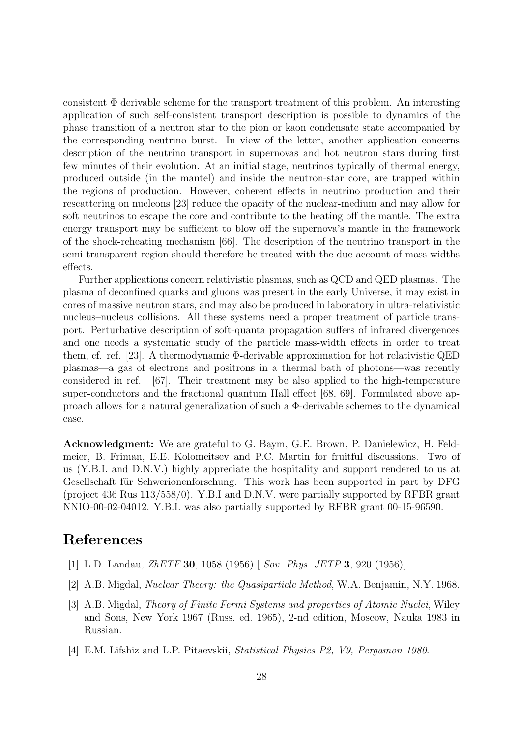consistent  $\Phi$  derivable scheme for the transport treatment of this problem. An interesting application of such self-consistent transport description is possible to dynamics of the phase transition of a neutron star to the pion or kaon condensate state accompanied by the corresponding neutrino burst. In view of the letter, another application concerns description of the neutrino transport in supernovas and hot neutron stars during first few minutes of their evolution. At an initial stage, neutrinos typically of thermal energy, produced outside (in the mantel) and inside the neutron-star core, are trapped within the regions of production. However, coherent effects in neutrino production and their rescattering on nucleons [23] reduce the opacity of the nuclear-medium and may allow for soft neutrinos to escape the core and contribute to the heating off the mantle. The extra energy transport may be sufficient to blow off the supernova's mantle in the framework of the shock-reheating mechanism [66]. The description of the neutrino transport in the semi-transparent region should therefore be treated with the due account of mass-widths effects.

Further applications concern relativistic plasmas, such as QCD and QED plasmas. The plasma of deconfined quarks and gluons was present in the early Universe, it may exist in cores of massive neutron stars, and may also be produced in laboratory in ultra-relativistic nucleus–nucleus collisions. All these systems need a proper treatment of particle transport. Perturbative description of soft-quanta propagation suffers of infrared divergences and one needs a systematic study of the particle mass-width effects in order to treat them, cf. ref. [23]. A thermodynamic Φ-derivable approximation for hot relativistic QED plasmas—a gas of electrons and positrons in a thermal bath of photons—was recently considered in ref. [67]. Their treatment may be also applied to the high-temperature super-conductors and the fractional quantum Hall effect [68, 69]. Formulated above approach allows for a natural generalization of such a Φ-derivable schemes to the dynamical case.

Acknowledgment: We are grateful to G. Baym, G.E. Brown, P. Danielewicz, H. Feldmeier, B. Friman, E.E. Kolomeitsev and P.C. Martin for fruitful discussions. Two of us (Y.B.I. and D.N.V.) highly appreciate the hospitality and support rendered to us at Gesellschaft für Schwerionenforschung. This work has been supported in part by DFG (project 436 Rus 113/558/0). Y.B.I and D.N.V. were partially supported by RFBR grant NNIO-00-02-04012. Y.B.I. was also partially supported by RFBR grant 00-15-96590.

# References

- [1] L.D. Landau, *ZhETF* **30**, 1058 (1956) [ Sov. Phys. JETP **3**, 920 (1956)].
- [2] A.B. Migdal, Nuclear Theory: the Quasiparticle Method, W.A. Benjamin, N.Y. 1968.
- [3] A.B. Migdal, Theory of Finite Fermi Systems and properties of Atomic Nuclei, Wiley and Sons, New York 1967 (Russ. ed. 1965), 2-nd edition, Moscow, Nauka 1983 in Russian.
- [4] E.M. Lifshiz and L.P. Pitaevskii, Statistical Physics P2, V9, Pergamon 1980.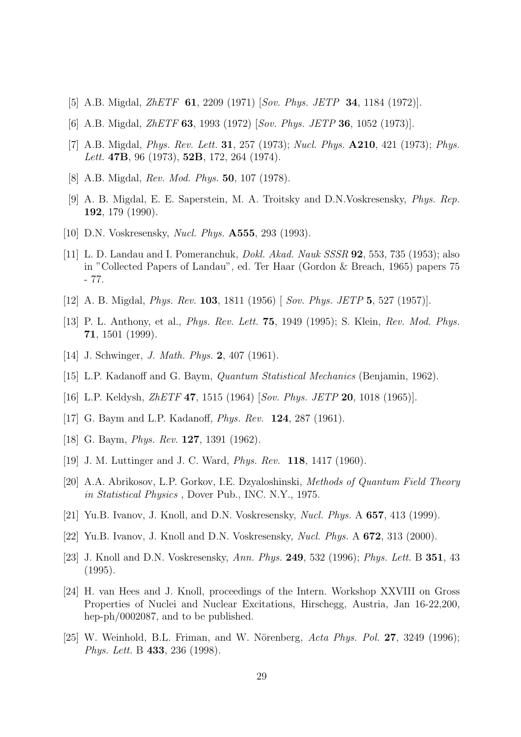- [5] A.B. Migdal, *ZhETF* **61**, 2209 (1971) [Sov. Phys. JETP **34**, 1184 (1972)].
- [6] A.B. Migdal, *ZhETF* **63**, 1993 (1972) [Sov. Phys. JETP **36**, 1052 (1973)].
- [7] A.B. Migdal, *Phys. Rev. Lett.* **31**, 257 (1973); *Nucl. Phys.* **A210**, 421 (1973); *Phys.* Lett. **47B**, 96 (1973), **52B**, 172, 264 (1974).
- [8] A.B. Migdal, Rev. Mod. Phys. 50, 107 (1978).
- [9] A. B. Migdal, E. E. Saperstein, M. A. Troitsky and D.N.Voskresensky, Phys. Rep. 192, 179 (1990).
- [10] D.N. Voskresensky, Nucl. Phys. A555, 293 (1993).
- [11] L. D. Landau and I. Pomeranchuk, Dokl. Akad. Nauk SSSR 92, 553, 735 (1953); also in "Collected Papers of Landau", ed. Ter Haar (Gordon & Breach, 1965) papers 75 - 77.
- [12] A. B. Migdal, *Phys. Rev.* **103**, 1811 (1956) [ Sov. *Phys. JETP* 5, 527 (1957)].
- [13] P. L. Anthony, et al., Phys. Rev. Lett. 75, 1949 (1995); S. Klein, Rev. Mod. Phys. 71, 1501 (1999).
- [14] J. Schwinger, *J. Math. Phys.* **2**, 407 (1961).
- [15] L.P. Kadanoff and G. Baym, Quantum Statistical Mechanics (Benjamin, 1962).
- [16] L.P. Keldysh, ZhETF 47, 1515 (1964) [Sov. Phys. JETP 20, 1018 (1965)].
- [17] G. Baym and L.P. Kadanoff, *Phys. Rev.* **124**, 287 (1961).
- [18] G. Baym, *Phys. Rev.* **127**, 1391 (1962).
- [19] J. M. Luttinger and J. C. Ward, Phys. Rev. 118, 1417 (1960).
- [20] A.A. Abrikosov, L.P. Gorkov, I.E. Dzyaloshinski, Methods of Quantum Field Theory in Statistical Physics , Dover Pub., INC. N.Y., 1975.
- [21] Yu.B. Ivanov, J. Knoll, and D.N. Voskresensky, Nucl. Phys. A 657, 413 (1999).
- [22] Yu.B. Ivanov, J. Knoll and D.N. Voskresensky, Nucl. Phys. A 672, 313 (2000).
- [23] J. Knoll and D.N. Voskresensky, Ann. Phys. 249, 532 (1996); Phys. Lett. B 351, 43 (1995).
- [24] H. van Hees and J. Knoll, proceedings of the Intern. Workshop XXVIII on Gross Properties of Nuclei and Nuclear Excitations, Hirschegg, Austria, Jan 16-22,200, hep-ph/0002087, and to be published.
- [25] W. Weinhold, B.L. Friman, and W. Nörenberg,  $Acta$  Phys. Pol. 27, 3249 (1996); Phys. Lett. B 433, 236 (1998).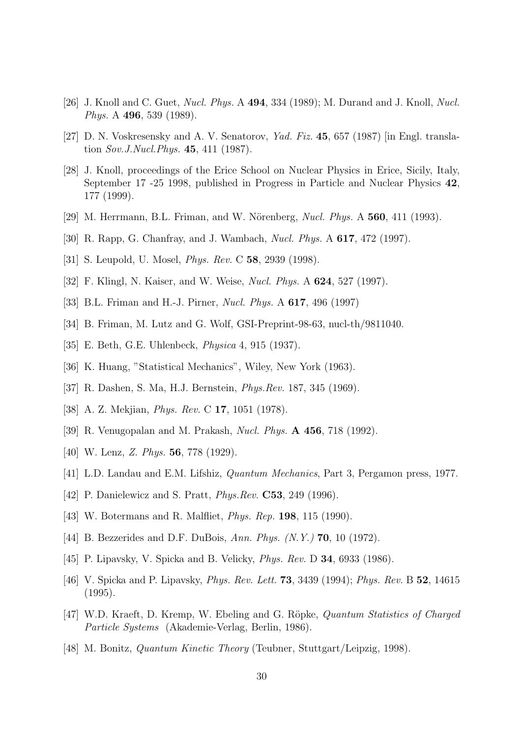- [26] J. Knoll and C. Guet, *Nucl. Phys.* A **494**, 334 (1989); M. Durand and J. Knoll, *Nucl. Phys.* A **496**, 539 (1989).
- [27] D. N. Voskresensky and A. V. Senatorov, Yad. Fiz. 45, 657 (1987) [in Engl. translation Sov.J.Nucl.Phys. 45, 411 (1987).
- [28] J. Knoll, proceedings of the Erice School on Nuclear Physics in Erice, Sicily, Italy, September 17 -25 1998, published in Progress in Particle and Nuclear Physics 42, 177 (1999).
- [29] M. Herrmann, B.L. Friman, and W. Nörenberg, *Nucl. Phys.* A  $560$ , 411 (1993).
- [30] R. Rapp, G. Chanfray, and J. Wambach, Nucl. Phys. A 617, 472 (1997).
- [31] S. Leupold, U. Mosel, *Phys. Rev.* C **58**, 2939 (1998).
- [32] F. Klingl, N. Kaiser, and W. Weise, Nucl. Phys. A 624, 527 (1997).
- [33] B.L. Friman and H.-J. Pirner, *Nucl. Phys.* A **617**, 496 (1997)
- [34] B. Friman, M. Lutz and G. Wolf, GSI-Preprint-98-63, nucl-th/9811040.
- [35] E. Beth, G.E. Uhlenbeck, Physica 4, 915 (1937).
- [36] K. Huang, "Statistical Mechanics", Wiley, New York (1963).
- [37] R. Dashen, S. Ma, H.J. Bernstein, Phys.Rev. 187, 345 (1969).
- [38] A. Z. Mekjian, *Phys. Rev.* C **17**, 1051 (1978).
- [39] R. Venugopalan and M. Prakash, Nucl. Phys. A 456, 718 (1992).
- [40] W. Lenz, Z. Phys. **56**, 778 (1929).
- [41] L.D. Landau and E.M. Lifshiz, Quantum Mechanics, Part 3, Pergamon press, 1977.
- [42] P. Danielewicz and S. Pratt, *Phys. Rev.* **C53**, 249 (1996).
- [43] W. Botermans and R. Malfliet, Phys. Rep. 198, 115 (1990).
- [44] B. Bezzerides and D.F. DuBois, Ann. Phys. (N.Y.) **70**, 10 (1972).
- [45] P. Lipavsky, V. Spicka and B. Velicky, *Phys. Rev. D* **34**, 6933 (1986).
- [46] V. Spicka and P. Lipavsky, Phys. Rev. Lett. 73, 3439 (1994); Phys. Rev. B 52, 14615 (1995).
- [47] W.D. Kraeft, D. Kremp, W. Ebeling and G. Röpke, *Quantum Statistics of Charged* Particle Systems (Akademie-Verlag, Berlin, 1986).
- [48] M. Bonitz, Quantum Kinetic Theory (Teubner, Stuttgart/Leipzig, 1998).